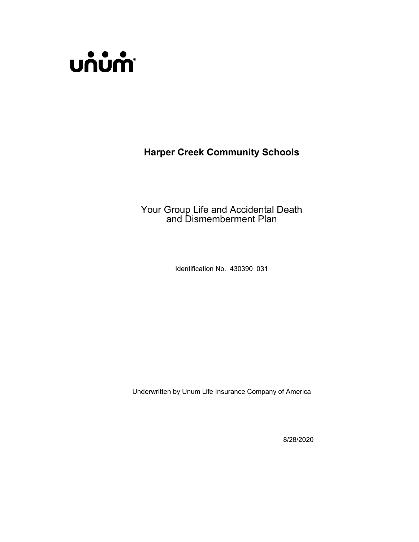

**Harper Creek Community Schools**

Your Group Life and Accidental Death and Dismemberment Plan

Identification No. 430390 031

Underwritten by Unum Life Insurance Company of America

8/28/2020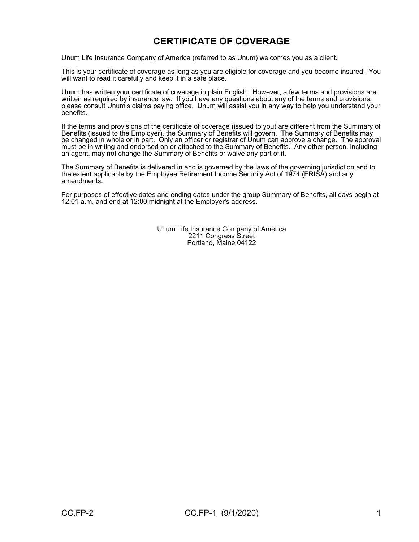# **CERTIFICATE OF COVERAGE**

Unum Life Insurance Company of America (referred to as Unum) welcomes you as a client.

This is your certificate of coverage as long as you are eligible for coverage and you become insured. You will want to read it carefully and keep it in a safe place.

Unum has written your certificate of coverage in plain English. However, a few terms and provisions are written as required by insurance law. If you have any questions about any of the terms and provisions, please consult Unum's claims paying office. Unum will assist you in any way to help you understand your benefits.

If the terms and provisions of the certificate of coverage (issued to you) are different from the Summary of Benefits (issued to the Employer), the Summary of Benefits will govern. The Summary of Benefits may be changed in whole or in part. Only an officer or registrar of Unum can approve a change. The approval must be in writing and endorsed on or attached to the Summary of Benefits. Any other person, including an agent, may not change the Summary of Benefits or waive any part of it.

The Summary of Benefits is delivered in and is governed by the laws of the governing jurisdiction and to the extent applicable by the Employee Retirement Income Security Act of 1974 (ERISA) and any amendments.

For purposes of effective dates and ending dates under the group Summary of Benefits, all days begin at 12:01 a.m. and end at 12:00 midnight at the Employer's address.

> Unum Life Insurance Company of America 2211 Congress Street Portland, Maine 04122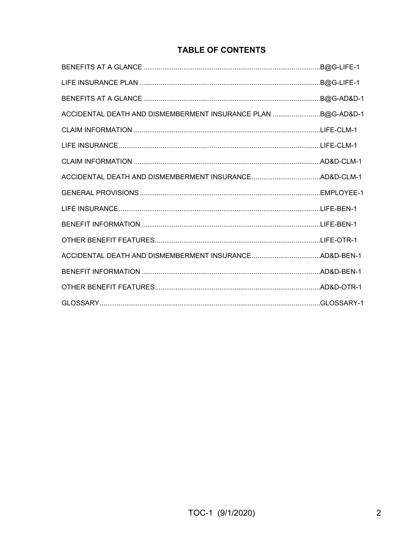# **TABLE OF CONTENTS**

| ACCIDENTAL DEATH AND DISMEMBERMENT INSURANCE PLAN B@G-AD&D-1 |  |
|--------------------------------------------------------------|--|
|                                                              |  |
|                                                              |  |
|                                                              |  |
|                                                              |  |
|                                                              |  |
|                                                              |  |
|                                                              |  |
|                                                              |  |
|                                                              |  |
|                                                              |  |
|                                                              |  |
|                                                              |  |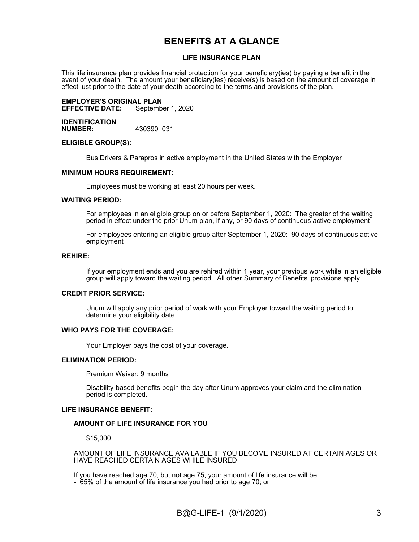# **BENEFITS AT A GLANCE**

#### **LIFE INSURANCE PLAN**

This life insurance plan provides financial protection for your beneficiary(ies) by paying a benefit in the event of your death. The amount your beneficiary(ies) receive(s) is based on the amount of coverage in effect just prior to the date of your death according to the terms and provisions of the plan.

**EMPLOYER'S ORIGINAL PLAN September 1, 2020** 

**IDENTIFICATION NUMBER:** 430390 031

#### **ELIGIBLE GROUP(S):**

Bus Drivers & Parapros in active employment in the United States with the Employer

#### **MINIMUM HOURS REQUIREMENT:**

Employees must be working at least 20 hours per week.

#### **WAITING PERIOD:**

For employees in an eligible group on or before September 1, 2020: The greater of the waiting period in effect under the prior Unum plan, if any, or 90 days of continuous active employment

For employees entering an eligible group after September 1, 2020: 90 days of continuous active employment

#### **REHIRE:**

If your employment ends and you are rehired within 1 year, your previous work while in an eligible group will apply toward the waiting period. All other Summary of Benefits' provisions apply.

#### **CREDIT PRIOR SERVICE:**

Unum will apply any prior period of work with your Employer toward the waiting period to determine your eligibility date.

#### **WHO PAYS FOR THE COVERAGE:**

Your Employer pays the cost of your coverage.

#### **ELIMINATION PERIOD:**

Premium Waiver: 9 months

Disability-based benefits begin the day after Unum approves your claim and the elimination period is completed.

#### **LIFE INSURANCE BENEFIT:**

#### **AMOUNT OF LIFE INSURANCE FOR YOU**

\$15,000

AMOUNT OF LIFE INSURANCE AVAILABLE IF YOU BECOME INSURED AT CERTAIN AGES OR HAVE REACHED CERTAIN AGES WHILE INSURED

If you have reached age 70, but not age 75, your amount of life insurance will be:

- 65% of the amount of life insurance you had prior to age 70; or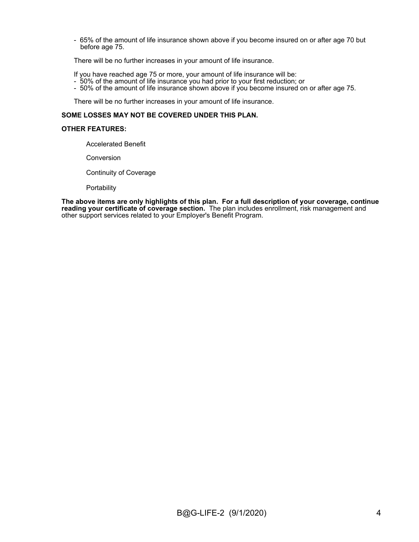- 65% of the amount of life insurance shown above if you become insured on or after age 70 but before age 75.

There will be no further increases in your amount of life insurance.

If you have reached age 75 or more, your amount of life insurance will be:

- 50% of the amount of life insurance you had prior to your first reduction; or
- 50% of the amount of life insurance shown above if you become insured on or after age 75.

There will be no further increases in your amount of life insurance.

#### **SOME LOSSES MAY NOT BE COVERED UNDER THIS PLAN.**

#### **OTHER FEATURES:**

Accelerated Benefit

**Conversion** 

Continuity of Coverage

**Portability** 

**The above items are only highlights of this plan. For a full description of your coverage, continue reading your certificate of coverage section.** The plan includes enrollment, risk management and other support services related to your Employer's Benefit Program.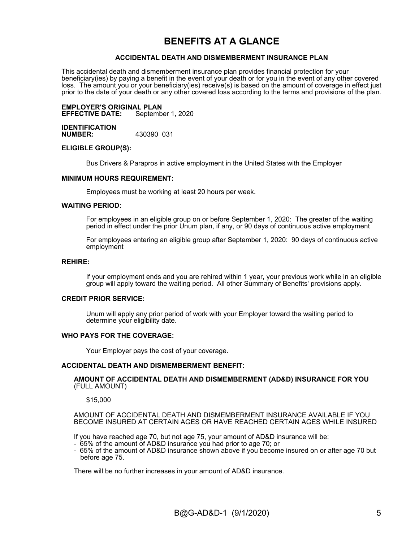# **BENEFITS AT A GLANCE**

#### **ACCIDENTAL DEATH AND DISMEMBERMENT INSURANCE PLAN**

This accidental death and dismemberment insurance plan provides financial protection for your beneficiary(ies) by paying a benefit in the event of your death or for you in the event of any other covered loss. The amount you or your beneficiary(ies) receive(s) is based on the amount of coverage in effect just prior to the date of your death or any other covered loss according to the terms and provisions of the plan.

#### **EMPLOYER'S ORIGINAL PLAN EFFECTIVE DATE:**

**IDENTIFICATION NUMBER:** 430390 031

#### **ELIGIBLE GROUP(S):**

Bus Drivers & Parapros in active employment in the United States with the Employer

#### **MINIMUM HOURS REQUIREMENT:**

Employees must be working at least 20 hours per week.

#### **WAITING PERIOD:**

For employees in an eligible group on or before September 1, 2020: The greater of the waiting period in effect under the prior Unum plan, if any, or 90 days of continuous active employment

For employees entering an eligible group after September 1, 2020: 90 days of continuous active employment

#### **REHIRE:**

If your employment ends and you are rehired within 1 year, your previous work while in an eligible group will apply toward the waiting period. All other Summary of Benefits' provisions apply.

#### **CREDIT PRIOR SERVICE:**

Unum will apply any prior period of work with your Employer toward the waiting period to determine your eligibility date.

#### **WHO PAYS FOR THE COVERAGE:**

Your Employer pays the cost of your coverage.

#### **ACCIDENTAL DEATH AND DISMEMBERMENT BENEFIT:**

#### **AMOUNT OF ACCIDENTAL DEATH AND DISMEMBERMENT (AD&D) INSURANCE FOR YOU**  (FULL AMOUNT)

\$15,000

AMOUNT OF ACCIDENTAL DEATH AND DISMEMBERMENT INSURANCE AVAILABLE IF YOU BECOME INSURED AT CERTAIN AGES OR HAVE REACHED CERTAIN AGES WHILE INSURED

If you have reached age 70, but not age 75, your amount of AD&D insurance will be:

- 65% of the amount of AD&D insurance you had prior to age 70; or
- 65% of the amount of AD&D insurance shown above if you become insured on or after age 70 but before age 75.

There will be no further increases in your amount of AD&D insurance.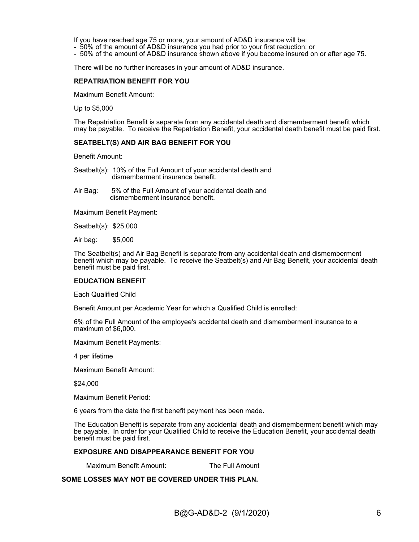If you have reached age 75 or more, your amount of AD&D insurance will be:

- 50% of the amount of AD&D insurance you had prior to your first reduction; or
- 50% of the amount of AD&D insurance shown above if you become insured on or after age 75.

There will be no further increases in your amount of AD&D insurance.

#### **REPATRIATION BENEFIT FOR YOU**

Maximum Benefit Amount:

Up to \$5,000

The Repatriation Benefit is separate from any accidental death and dismemberment benefit which may be payable. To receive the Repatriation Benefit, your accidental death benefit must be paid first.

#### **SEATBELT(S) AND AIR BAG BENEFIT FOR YOU**

Benefit Amount:

Seatbelt(s): 10% of the Full Amount of your accidental death and dismemberment insurance benefit.

Air Bag: 5% of the Full Amount of your accidental death and dismemberment insurance benefit.

Maximum Benefit Payment:

Seatbelt(s): \$25,000

Air bag: \$5,000

The Seatbelt(s) and Air Bag Benefit is separate from any accidental death and dismemberment benefit which may be payable. To receive the Seatbelt(s) and Air Bag Benefit, your accidental death benefit must be paid first.

#### **EDUCATION BENEFIT**

Each Qualified Child

Benefit Amount per Academic Year for which a Qualified Child is enrolled:

6% of the Full Amount of the employee's accidental death and dismemberment insurance to a maximum of \$6,000.

Maximum Benefit Payments:

4 per lifetime

Maximum Benefit Amount:

\$24,000

Maximum Benefit Period:

6 years from the date the first benefit payment has been made.

The Education Benefit is separate from any accidental death and dismemberment benefit which may be payable. In order for your Qualified Child to receive the Education Benefit, your accidental death benefit must be paid first.

#### **EXPOSURE AND DISAPPEARANCE BENEFIT FOR YOU**

Maximum Benefit Amount: The Full Amount

**SOME LOSSES MAY NOT BE COVERED UNDER THIS PLAN.**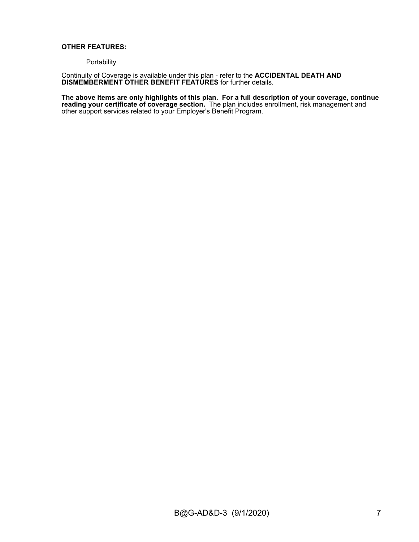### **OTHER FEATURES:**

**Portability** 

Continuity of Coverage is available under this plan - refer to the **ACCIDENTAL DEATH AND DISMEMBERMENT OTHER BENEFIT FEATURES** for further details.

**The above items are only highlights of this plan. For a full description of your coverage, continue reading your certificate of coverage section.** The plan includes enrollment, risk management and other support services related to your Employer's Benefit Program.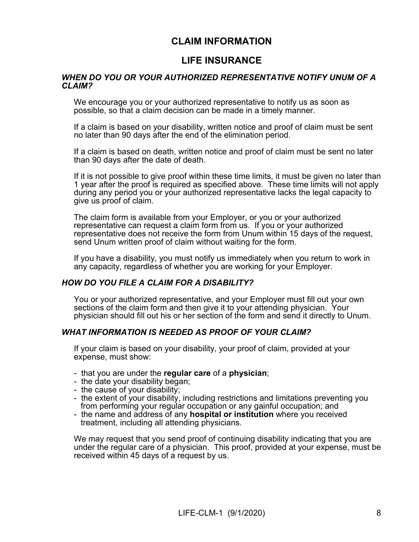# **CLAIM INFORMATION**

# **LIFE INSURANCE**

# *WHEN DO YOU OR YOUR AUTHORIZED REPRESENTATIVE NOTIFY UNUM OF A CLAIM?*

We encourage you or your authorized representative to notify us as soon as possible, so that a claim decision can be made in a timely manner.

If a claim is based on your disability, written notice and proof of claim must be sent no later than 90 days after the end of the elimination period.

If a claim is based on death, written notice and proof of claim must be sent no later than 90 days after the date of death.

If it is not possible to give proof within these time limits, it must be given no later than 1 year after the proof is required as specified above. These time limits will not apply during any period you or your authorized representative lacks the legal capacity to give us proof of claim.

The claim form is available from your Employer, or you or your authorized representative can request a claim form from us. If you or your authorized representative does not receive the form from Unum within 15 days of the request, send Unum written proof of claim without waiting for the form.

If you have a disability, you must notify us immediately when you return to work in any capacity, regardless of whether you are working for your Employer.

# *HOW DO YOU FILE A CLAIM FOR A DISABILITY?*

You or your authorized representative, and your Employer must fill out your own sections of the claim form and then give it to your attending physician. Your physician should fill out his or her section of the form and send it directly to Unum.

# *WHAT INFORMATION IS NEEDED AS PROOF OF YOUR CLAIM?*

If your claim is based on your disability, your proof of claim, provided at your expense, must show:

- that you are under the **regular care** of a **physician**;
- the date your disability began;
- the cause of your disability;
- the extent of your disability, including restrictions and limitations preventing you from performing your regular occupation or any gainful occupation; and
- the name and address of any **hospital or institution** where you received treatment, including all attending physicians.

We may request that you send proof of continuing disability indicating that you are under the regular care of a physician. This proof, provided at your expense, must be received within 45 days of a request by us.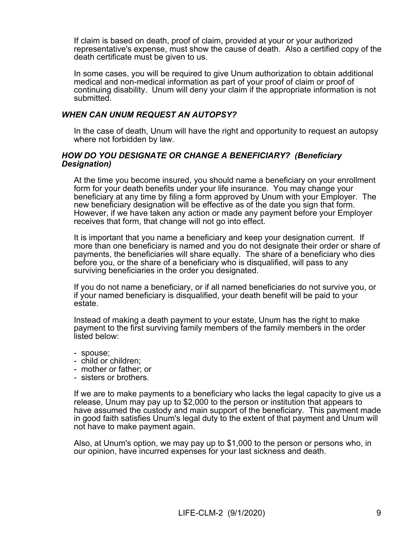If claim is based on death, proof of claim, provided at your or your authorized representative's expense, must show the cause of death. Also a certified copy of the death certificate must be given to us.

In some cases, you will be required to give Unum authorization to obtain additional medical and non-medical information as part of your proof of claim or proof of continuing disability. Unum will deny your claim if the appropriate information is not submitted.

# *WHEN CAN UNUM REQUEST AN AUTOPSY?*

In the case of death, Unum will have the right and opportunity to request an autopsy where not forbidden by law.

# *HOW DO YOU DESIGNATE OR CHANGE A BENEFICIARY? (Beneficiary Designation)*

At the time you become insured, you should name a beneficiary on your enrollment form for your death benefits under your life insurance. You may change your beneficiary at any time by filing a form approved by Unum with your Employer. The new beneficiary designation will be effective as of the date you sign that form. However, if we have taken any action or made any payment before your Employer receives that form, that change will not go into effect.

It is important that you name a beneficiary and keep your designation current. If more than one beneficiary is named and you do not designate their order or share of payments, the beneficiaries will share equally. The share of a beneficiary who dies before you, or the share of a beneficiary who is disqualified, will pass to any surviving beneficiaries in the order you designated.

If you do not name a beneficiary, or if all named beneficiaries do not survive you, or if your named beneficiary is disqualified, your death benefit will be paid to your estate.

Instead of making a death payment to your estate, Unum has the right to make payment to the first surviving family members of the family members in the order listed below:

- spouse;
- child or children;
- mother or father; or
- sisters or brothers.

If we are to make payments to a beneficiary who lacks the legal capacity to give us a release, Unum may pay up to \$2,000 to the person or institution that appears to have assumed the custody and main support of the beneficiary. This payment made in good faith satisfies Unum's legal duty to the extent of that payment and Unum will not have to make payment again.

Also, at Unum's option, we may pay up to \$1,000 to the person or persons who, in our opinion, have incurred expenses for your last sickness and death.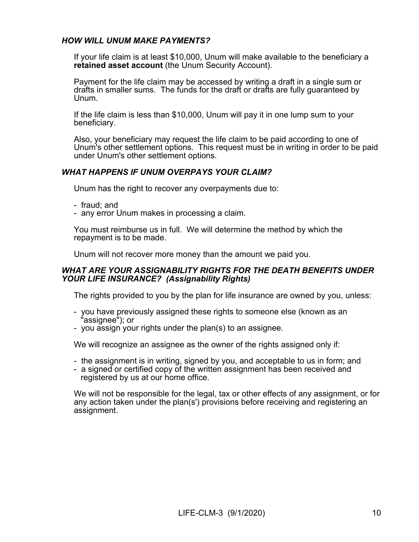# *HOW WILL UNUM MAKE PAYMENTS?*

If your life claim is at least \$10,000, Unum will make available to the beneficiary a **retained asset account** (the Unum Security Account).

Payment for the life claim may be accessed by writing a draft in a single sum or drafts in smaller sums. The funds for the draft or drafts are fully guaranteed by Unum.

If the life claim is less than \$10,000, Unum will pay it in one lump sum to your beneficiary.

Also, your beneficiary may request the life claim to be paid according to one of Unum's other settlement options. This request must be in writing in order to be paid under Unum's other settlement options.

# *WHAT HAPPENS IF UNUM OVERPAYS YOUR CLAIM?*

Unum has the right to recover any overpayments due to:

- fraud; and
- any error Unum makes in processing a claim.

You must reimburse us in full. We will determine the method by which the repayment is to be made.

Unum will not recover more money than the amount we paid you.

# *WHAT ARE YOUR ASSIGNABILITY RIGHTS FOR THE DEATH BENEFITS UNDER YOUR LIFE INSURANCE? (Assignability Rights)*

The rights provided to you by the plan for life insurance are owned by you, unless:

- you have previously assigned these rights to someone else (known as an "assignee"); or
- you assign your rights under the plan(s) to an assignee.

We will recognize an assignee as the owner of the rights assigned only if:

- the assignment is in writing, signed by you, and acceptable to us in form; and
- a signed or certified copy of the written assignment has been received and registered by us at our home office.

We will not be responsible for the legal, tax or other effects of any assignment, or for any action taken under the plan(s') provisions before receiving and registering an assignment.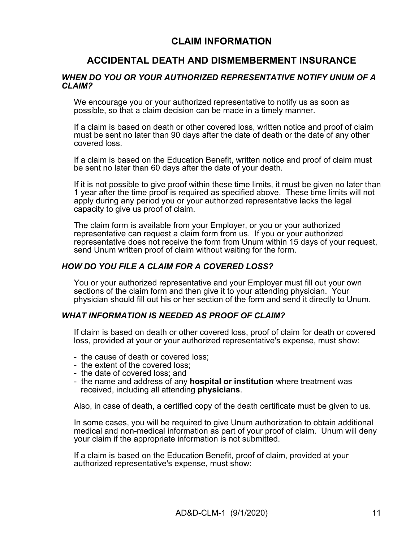# **CLAIM INFORMATION**

# **ACCIDENTAL DEATH AND DISMEMBERMENT INSURANCE**

### *WHEN DO YOU OR YOUR AUTHORIZED REPRESENTATIVE NOTIFY UNUM OF A CLAIM?*

We encourage you or your authorized representative to notify us as soon as possible, so that a claim decision can be made in a timely manner.

If a claim is based on death or other covered loss, written notice and proof of claim must be sent no later than 90 days after the date of death or the date of any other covered loss.

If a claim is based on the Education Benefit, written notice and proof of claim must be sent no later than 60 days after the date of your death.

If it is not possible to give proof within these time limits, it must be given no later than 1 year after the time proof is required as specified above. These time limits will not apply during any period you or your authorized representative lacks the legal capacity to give us proof of claim.

The claim form is available from your Employer, or you or your authorized representative can request a claim form from us. If you or your authorized representative does not receive the form from Unum within 15 days of your request, send Unum written proof of claim without waiting for the form.

### *HOW DO YOU FILE A CLAIM FOR A COVERED LOSS?*

You or your authorized representative and your Employer must fill out your own sections of the claim form and then give it to your attending physician. Your physician should fill out his or her section of the form and send it directly to Unum.

### *WHAT INFORMATION IS NEEDED AS PROOF OF CLAIM?*

If claim is based on death or other covered loss, proof of claim for death or covered loss, provided at your or your authorized representative's expense, must show:

- the cause of death or covered loss;
- the extent of the covered loss;
- the date of covered loss; and
- the name and address of any **hospital or institution** where treatment was received, including all attending **physicians**.

Also, in case of death, a certified copy of the death certificate must be given to us.

In some cases, you will be required to give Unum authorization to obtain additional medical and non-medical information as part of your proof of claim. Unum will deny your claim if the appropriate information is not submitted.

If a claim is based on the Education Benefit, proof of claim, provided at your authorized representative's expense, must show: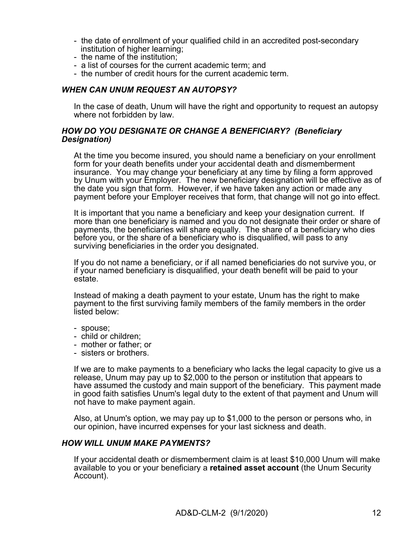- the date of enrollment of your qualified child in an accredited post-secondary institution of higher learning;
- the name of the institution;
- a list of courses for the current academic term; and
- the number of credit hours for the current academic term.

# *WHEN CAN UNUM REQUEST AN AUTOPSY?*

In the case of death, Unum will have the right and opportunity to request an autopsy where not forbidden by law.

# *HOW DO YOU DESIGNATE OR CHANGE A BENEFICIARY? (Beneficiary Designation)*

At the time you become insured, you should name a beneficiary on your enrollment form for your death benefits under your accidental death and dismemberment insurance. You may change your beneficiary at any time by filing a form approved by Unum with your Employer. The new beneficiary designation will be effective as of the date you sign that form. However, if we have taken any action or made any payment before your Employer receives that form, that change will not go into effect.

It is important that you name a beneficiary and keep your designation current. If more than one beneficiary is named and you do not designate their order or share of payments, the beneficiaries will share equally. The share of a beneficiary who dies before you, or the share of a beneficiary who is disqualified, will pass to any surviving beneficiaries in the order you designated.

If you do not name a beneficiary, or if all named beneficiaries do not survive you, or if your named beneficiary is disqualified, your death benefit will be paid to your estate.

Instead of making a death payment to your estate, Unum has the right to make payment to the first surviving family members of the family members in the order listed below:

- spouse;
- child or children;
- mother or father; or
- sisters or brothers.

If we are to make payments to a beneficiary who lacks the legal capacity to give us a release, Unum may pay up to \$2,000 to the person or institution that appears to have assumed the custody and main support of the beneficiary. This payment made in good faith satisfies Unum's legal duty to the extent of that payment and Unum will not have to make payment again.

Also, at Unum's option, we may pay up to \$1,000 to the person or persons who, in our opinion, have incurred expenses for your last sickness and death.

#### *HOW WILL UNUM MAKE PAYMENTS?*

If your accidental death or dismemberment claim is at least \$10,000 Unum will make available to you or your beneficiary a **retained asset account** (the Unum Security Account).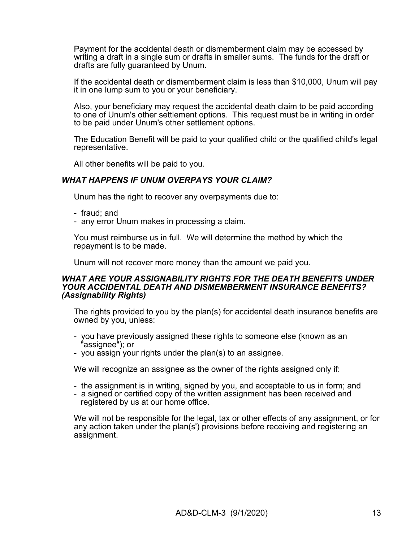Payment for the accidental death or dismemberment claim may be accessed by writing a draft in a single sum or drafts in smaller sums. The funds for the draft or drafts are fully guaranteed by Unum.

If the accidental death or dismemberment claim is less than \$10,000, Unum will pay it in one lump sum to you or your beneficiary.

Also, your beneficiary may request the accidental death claim to be paid according to one of Unum's other settlement options. This request must be in writing in order to be paid under Unum's other settlement options.

The Education Benefit will be paid to your qualified child or the qualified child's legal representative.

All other benefits will be paid to you.

# *WHAT HAPPENS IF UNUM OVERPAYS YOUR CLAIM?*

Unum has the right to recover any overpayments due to:

- fraud; and
- any error Unum makes in processing a claim.

You must reimburse us in full. We will determine the method by which the repayment is to be made.

Unum will not recover more money than the amount we paid you.

### *WHAT ARE YOUR ASSIGNABILITY RIGHTS FOR THE DEATH BENEFITS UNDER YOUR ACCIDENTAL DEATH AND DISMEMBERMENT INSURANCE BENEFITS? (Assignability Rights)*

The rights provided to you by the plan(s) for accidental death insurance benefits are owned by you, unless:

- you have previously assigned these rights to someone else (known as an "assignee"); or
- you assign your rights under the plan(s) to an assignee.

We will recognize an assignee as the owner of the rights assigned only if:

- the assignment is in writing, signed by you, and acceptable to us in form; and
- a signed or certified copy of the written assignment has been received and registered by us at our home office.

We will not be responsible for the legal, tax or other effects of any assignment, or for any action taken under the plan(s') provisions before receiving and registering an assignment.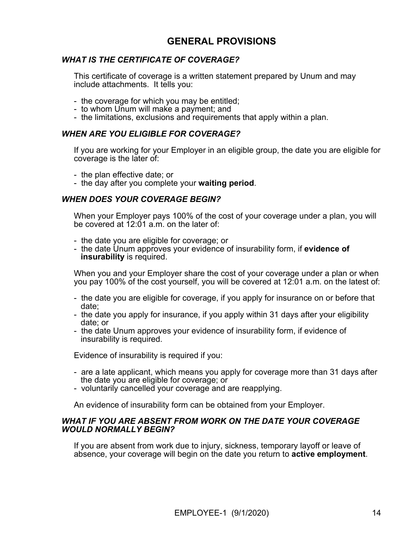# **GENERAL PROVISIONS**

# *WHAT IS THE CERTIFICATE OF COVERAGE?*

This certificate of coverage is a written statement prepared by Unum and may include attachments. It tells you:

- the coverage for which you may be entitled;
- to whom Unum will make a payment; and
- the limitations, exclusions and requirements that apply within a plan.

### *WHEN ARE YOU ELIGIBLE FOR COVERAGE?*

If you are working for your Employer in an eligible group, the date you are eligible for coverage is the later of:

- the plan effective date; or
- the day after you complete your **waiting period**.

# *WHEN DOES YOUR COVERAGE BEGIN?*

When your Employer pays 100% of the cost of your coverage under a plan, you will be covered at 12:01 a.m. on the later of:

- the date you are eligible for coverage; or
- the date Unum approves your evidence of insurability form, if **evidence of insurability** is required.

When you and your Employer share the cost of your coverage under a plan or when you pay 100% of the cost yourself, you will be covered at 12:01 a.m. on the latest of:

- the date you are eligible for coverage, if you apply for insurance on or before that date;
- the date you apply for insurance, if you apply within 31 days after your eligibility date; or
- the date Unum approves your evidence of insurability form, if evidence of insurability is required.

Evidence of insurability is required if you:

- are a late applicant, which means you apply for coverage more than 31 days after the date you are eligible for coverage; or
- voluntarily cancelled your coverage and are reapplying.

An evidence of insurability form can be obtained from your Employer.

### *WHAT IF YOU ARE ABSENT FROM WORK ON THE DATE YOUR COVERAGE WOULD NORMALLY BEGIN?*

If you are absent from work due to injury, sickness, temporary layoff or leave of absence, your coverage will begin on the date you return to **active employment**.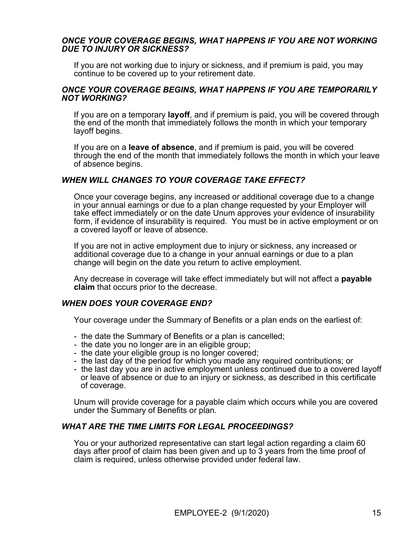# *ONCE YOUR COVERAGE BEGINS, WHAT HAPPENS IF YOU ARE NOT WORKING DUE TO INJURY OR SICKNESS?*

If you are not working due to injury or sickness, and if premium is paid, you may continue to be covered up to your retirement date.

### *ONCE YOUR COVERAGE BEGINS, WHAT HAPPENS IF YOU ARE TEMPORARILY NOT WORKING?*

If you are on a temporary **layoff**, and if premium is paid, you will be covered through the end of the month that immediately follows the month in which your temporary layoff begins.

If you are on a **leave of absence**, and if premium is paid, you will be covered through the end of the month that immediately follows the month in which your leave of absence begins.

# *WHEN WILL CHANGES TO YOUR COVERAGE TAKE EFFECT?*

Once your coverage begins, any increased or additional coverage due to a change in your annual earnings or due to a plan change requested by your Employer will take effect immediately or on the date Unum approves your evidence of insurability form, if evidence of insurability is required. You must be in active employment or on a covered layoff or leave of absence.

If you are not in active employment due to injury or sickness, any increased or additional coverage due to a change in your annual earnings or due to a plan change will begin on the date you return to active employment.

Any decrease in coverage will take effect immediately but will not affect a **payable claim** that occurs prior to the decrease.

# *WHEN DOES YOUR COVERAGE END?*

Your coverage under the Summary of Benefits or a plan ends on the earliest of:

- the date the Summary of Benefits or a plan is cancelled;
- the date you no longer are in an eligible group;
- the date your eligible group is no longer covered;
- the last day of the period for which you made any required contributions; or
- the last day you are in active employment unless continued due to a covered layoff or leave of absence or due to an injury or sickness, as described in this certificate of coverage.

Unum will provide coverage for a payable claim which occurs while you are covered under the Summary of Benefits or plan.

# *WHAT ARE THE TIME LIMITS FOR LEGAL PROCEEDINGS?*

You or your authorized representative can start legal action regarding a claim 60 days after proof of claim has been given and up to 3 years from the time proof of claim is required, unless otherwise provided under federal law.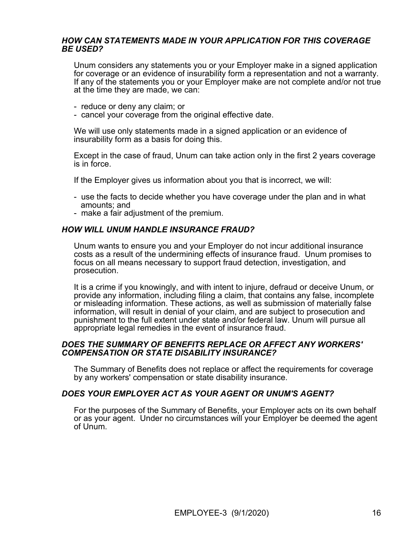# *HOW CAN STATEMENTS MADE IN YOUR APPLICATION FOR THIS COVERAGE BE USED?*

Unum considers any statements you or your Employer make in a signed application for coverage or an evidence of insurability form a representation and not a warranty. If any of the statements you or your Employer make are not complete and/or not true at the time they are made, we can:

- reduce or deny any claim; or
- cancel your coverage from the original effective date.

We will use only statements made in a signed application or an evidence of insurability form as a basis for doing this.

Except in the case of fraud, Unum can take action only in the first 2 years coverage is in force.

If the Employer gives us information about you that is incorrect, we will:

- use the facts to decide whether you have coverage under the plan and in what amounts; and
- make a fair adjustment of the premium.

# *HOW WILL UNUM HANDLE INSURANCE FRAUD?*

Unum wants to ensure you and your Employer do not incur additional insurance costs as a result of the undermining effects of insurance fraud. Unum promises to focus on all means necessary to support fraud detection, investigation, and prosecution.

It is a crime if you knowingly, and with intent to injure, defraud or deceive Unum, or provide any information, including filing a claim, that contains any false, incomplete or misleading information. These actions, as well as submission of materially false information, will result in denial of your claim, and are subject to prosecution and punishment to the full extent under state and/or federal law. Unum will pursue all appropriate legal remedies in the event of insurance fraud.

### *DOES THE SUMMARY OF BENEFITS REPLACE OR AFFECT ANY WORKERS' COMPENSATION OR STATE DISABILITY INSURANCE?*

The Summary of Benefits does not replace or affect the requirements for coverage by any workers' compensation or state disability insurance.

# *DOES YOUR EMPLOYER ACT AS YOUR AGENT OR UNUM'S AGENT?*

For the purposes of the Summary of Benefits, your Employer acts on its own behalf or as your agent. Under no circumstances will your Employer be deemed the agent of Unum.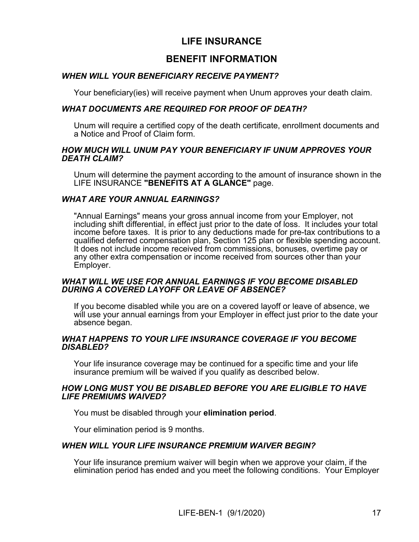# **LIFE INSURANCE**

# **BENEFIT INFORMATION**

# *WHEN WILL YOUR BENEFICIARY RECEIVE PAYMENT?*

Your beneficiary(ies) will receive payment when Unum approves your death claim.

# *WHAT DOCUMENTS ARE REQUIRED FOR PROOF OF DEATH?*

Unum will require a certified copy of the death certificate, enrollment documents and a Notice and Proof of Claim form.

# *HOW MUCH WILL UNUM PAY YOUR BENEFICIARY IF UNUM APPROVES YOUR DEATH CLAIM?*

Unum will determine the payment according to the amount of insurance shown in the LIFE INSURANCE **"BENEFITS AT A GLANCE"** page.

# *WHAT ARE YOUR ANNUAL EARNINGS?*

"Annual Earnings" means your gross annual income from your Employer, not including shift differential, in effect just prior to the date of loss. It includes your total income before taxes. It is prior to any deductions made for pre-tax contributions to a qualified deferred compensation plan, Section 125 plan or flexible spending account. It does not include income received from commissions, bonuses, overtime pay or any other extra compensation or income received from sources other than your Employer.

# *WHAT WILL WE USE FOR ANNUAL EARNINGS IF YOU BECOME DISABLED DURING A COVERED LAYOFF OR LEAVE OF ABSENCE?*

If you become disabled while you are on a covered layoff or leave of absence, we will use your annual earnings from your Employer in effect just prior to the date your absence began.

# *WHAT HAPPENS TO YOUR LIFE INSURANCE COVERAGE IF YOU BECOME DISABLED?*

Your life insurance coverage may be continued for a specific time and your life insurance premium will be waived if you qualify as described below.

# *HOW LONG MUST YOU BE DISABLED BEFORE YOU ARE ELIGIBLE TO HAVE LIFE PREMIUMS WAIVED?*

You must be disabled through your **elimination period**.

Your elimination period is 9 months.

# *WHEN WILL YOUR LIFE INSURANCE PREMIUM WAIVER BEGIN?*

Your life insurance premium waiver will begin when we approve your claim, if the elimination period has ended and you meet the following conditions. Your Employer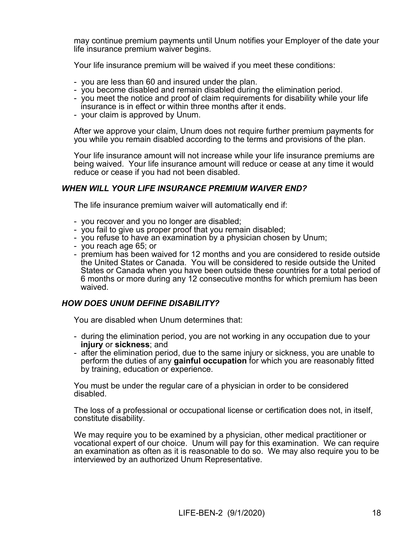may continue premium payments until Unum notifies your Employer of the date your life insurance premium waiver begins.

Your life insurance premium will be waived if you meet these conditions:

- you are less than 60 and insured under the plan.
- you become disabled and remain disabled during the elimination period.
- you meet the notice and proof of claim requirements for disability while your life insurance is in effect or within three months after it ends.
- your claim is approved by Unum.

After we approve your claim, Unum does not require further premium payments for you while you remain disabled according to the terms and provisions of the plan.

Your life insurance amount will not increase while your life insurance premiums are being waived. Your life insurance amount will reduce or cease at any time it would reduce or cease if you had not been disabled.

# *WHEN WILL YOUR LIFE INSURANCE PREMIUM WAIVER END?*

The life insurance premium waiver will automatically end if:

- you recover and you no longer are disabled;
- you fail to give us proper proof that you remain disabled;
- you refuse to have an examination by a physician chosen by Unum;
- you reach age 65; or
- premium has been waived for 12 months and you are considered to reside outside the United States or Canada. You will be considered to reside outside the United States or Canada when you have been outside these countries for a total period of 6 months or more during any 12 consecutive months for which premium has been waived.

# *HOW DOES UNUM DEFINE DISABILITY?*

You are disabled when Unum determines that:

- during the elimination period, you are not working in any occupation due to your **injury** or **sickness**; and
- after the elimination period, due to the same injury or sickness, you are unable to perform the duties of any **gainful occupation** for which you are reasonably fitted by training, education or experience.

You must be under the regular care of a physician in order to be considered disabled.

The loss of a professional or occupational license or certification does not, in itself, constitute disability.

We may require you to be examined by a physician, other medical practitioner or vocational expert of our choice. Unum will pay for this examination. We can require an examination as often as it is reasonable to do so. We may also require you to be interviewed by an authorized Unum Representative.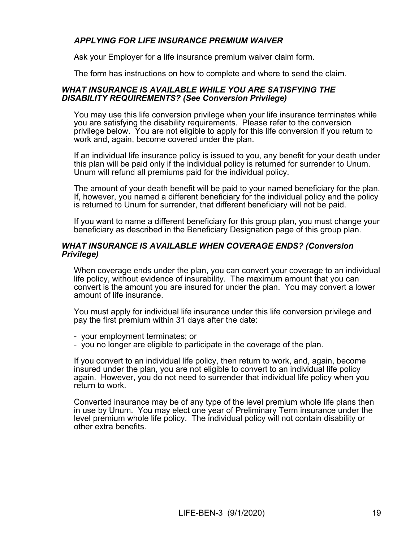# *APPLYING FOR LIFE INSURANCE PREMIUM WAIVER*

Ask your Employer for a life insurance premium waiver claim form.

The form has instructions on how to complete and where to send the claim.

### *WHAT INSURANCE IS AVAILABLE WHILE YOU ARE SATISFYING THE DISABILITY REQUIREMENTS? (See Conversion Privilege)*

You may use this life conversion privilege when your life insurance terminates while you are satisfying the disability requirements. Please refer to the conversion privilege below. You are not eligible to apply for this life conversion if you return to work and, again, become covered under the plan.

If an individual life insurance policy is issued to you, any benefit for your death under this plan will be paid only if the individual policy is returned for surrender to Unum. Unum will refund all premiums paid for the individual policy.

The amount of your death benefit will be paid to your named beneficiary for the plan. If, however, you named a different beneficiary for the individual policy and the policy is returned to Unum for surrender, that different beneficiary will not be paid.

If you want to name a different beneficiary for this group plan, you must change your beneficiary as described in the Beneficiary Designation page of this group plan.

# *WHAT INSURANCE IS AVAILABLE WHEN COVERAGE ENDS? (Conversion Privilege)*

When coverage ends under the plan, you can convert your coverage to an individual life policy, without evidence of insurability. The maximum amount that you can convert is the amount you are insured for under the plan. You may convert a lower amount of life insurance.

You must apply for individual life insurance under this life conversion privilege and pay the first premium within 31 days after the date:

- your employment terminates; or

- you no longer are eligible to participate in the coverage of the plan.

If you convert to an individual life policy, then return to work, and, again, become insured under the plan, you are not eligible to convert to an individual life policy again. However, you do not need to surrender that individual life policy when you return to work.

Converted insurance may be of any type of the level premium whole life plans then in use by Unum. You may elect one year of Preliminary Term insurance under the level premium whole life policy. The individual policy will not contain disability or other extra benefits.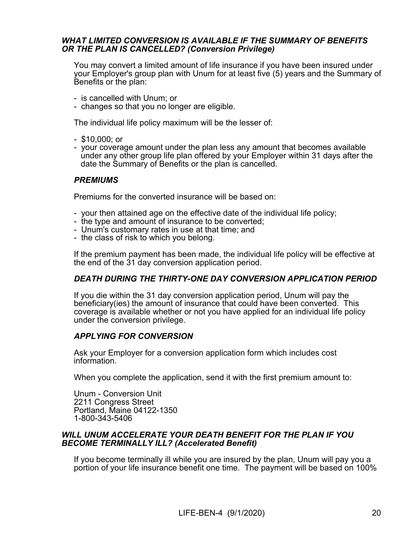# *WHAT LIMITED CONVERSION IS AVAILABLE IF THE SUMMARY OF BENEFITS OR THE PLAN IS CANCELLED? (Conversion Privilege)*

You may convert a limited amount of life insurance if you have been insured under your Employer's group plan with Unum for at least five (5) years and the Summary of Benefits or the plan:

- is cancelled with Unum; or
- changes so that you no longer are eligible.

The individual life policy maximum will be the lesser of:

- \$10,000; or
- your coverage amount under the plan less any amount that becomes available under any other group life plan offered by your Employer within 31 days after the date the Summary of Benefits or the plan is cancelled.

# *PREMIUMS*

Premiums for the converted insurance will be based on:

- your then attained age on the effective date of the individual life policy;
- the type and amount of insurance to be converted;
- Unum's customary rates in use at that time; and
- the class of risk to which you belong.

If the premium payment has been made, the individual life policy will be effective at the end of the 31 day conversion application period.

# *DEATH DURING THE THIRTY-ONE DAY CONVERSION APPLICATION PERIOD*

If you die within the 31 day conversion application period, Unum will pay the beneficiary(ies) the amount of insurance that could have been converted. This coverage is available whether or not you have applied for an individual life policy under the conversion privilege.

# *APPLYING FOR CONVERSION*

Ask your Employer for a conversion application form which includes cost information.

When you complete the application, send it with the first premium amount to:

Unum - Conversion Unit 2211 Congress Street Portland, Maine 04122-1350 1-800-343-5406

# *WILL UNUM ACCELERATE YOUR DEATH BENEFIT FOR THE PLAN IF YOU BECOME TERMINALLY ILL? (Accelerated Benefit)*

If you become terminally ill while you are insured by the plan, Unum will pay you a portion of your life insurance benefit one time. The payment will be based on 100%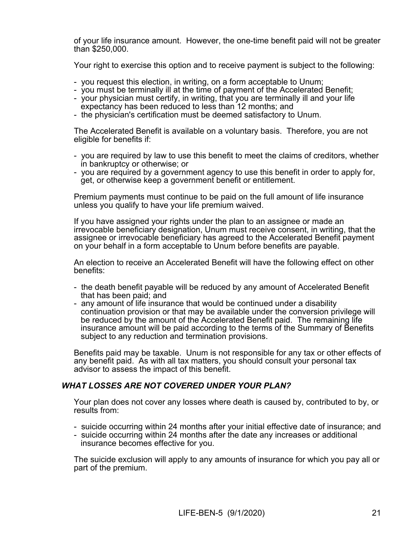of your life insurance amount. However, the one-time benefit paid will not be greater than \$250,000.

Your right to exercise this option and to receive payment is subject to the following:

- you request this election, in writing, on a form acceptable to Unum;
- you must be terminally ill at the time of payment of the Accelerated Benefit;
- your physician must certify, in writing, that you are terminally ill and your life expectancy has been reduced to less than 12 months; and
- the physician's certification must be deemed satisfactory to Unum.

The Accelerated Benefit is available on a voluntary basis. Therefore, you are not eligible for benefits if:

- you are required by law to use this benefit to meet the claims of creditors, whether in bankruptcy or otherwise; or
- you are required by a government agency to use this benefit in order to apply for, get, or otherwise keep a government benefit or entitlement.

Premium payments must continue to be paid on the full amount of life insurance unless you qualify to have your life premium waived.

If you have assigned your rights under the plan to an assignee or made an irrevocable beneficiary designation, Unum must receive consent, in writing, that the assignee or irrevocable beneficiary has agreed to the Accelerated Benefit payment on your behalf in a form acceptable to Unum before benefits are payable.

An election to receive an Accelerated Benefit will have the following effect on other benefits:

- the death benefit payable will be reduced by any amount of Accelerated Benefit that has been paid; and
- any amount of life insurance that would be continued under a disability continuation provision or that may be available under the conversion privilege will be reduced by the amount of the Accelerated Benefit paid. The remaining life insurance amount will be paid according to the terms of the Summary of Benefits subject to any reduction and termination provisions.

Benefits paid may be taxable. Unum is not responsible for any tax or other effects of any benefit paid. As with all tax matters, you should consult your personal tax advisor to assess the impact of this benefit.

# *WHAT LOSSES ARE NOT COVERED UNDER YOUR PLAN?*

Your plan does not cover any losses where death is caused by, contributed to by, or results from:

- suicide occurring within 24 months after your initial effective date of insurance; and
- suicide occurring within 24 months after the date any increases or additional insurance becomes effective for you.

The suicide exclusion will apply to any amounts of insurance for which you pay all or part of the premium.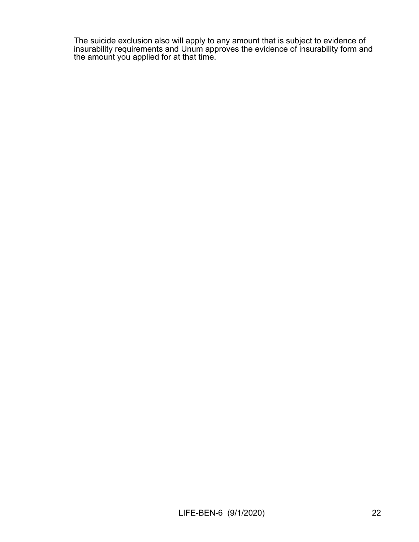The suicide exclusion also will apply to any amount that is subject to evidence of insurability requirements and Unum approves the evidence of insurability form and the amount you applied for at that time.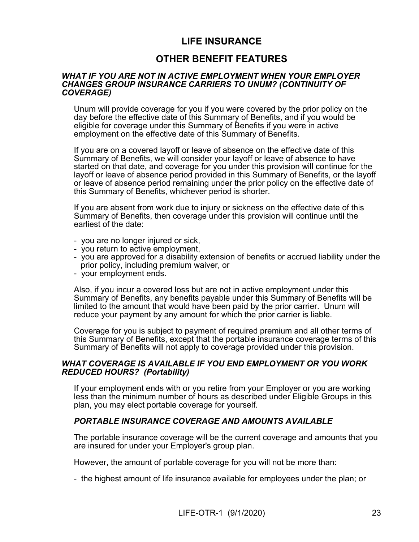# **LIFE INSURANCE**

# **OTHER BENEFIT FEATURES**

### *WHAT IF YOU ARE NOT IN ACTIVE EMPLOYMENT WHEN YOUR EMPLOYER CHANGES GROUP INSURANCE CARRIERS TO UNUM? (CONTINUITY OF COVERAGE)*

Unum will provide coverage for you if you were covered by the prior policy on the day before the effective date of this Summary of Benefits, and if you would be eligible for coverage under this Summary of Benefits if you were in active employment on the effective date of this Summary of Benefits.

If you are on a covered layoff or leave of absence on the effective date of this Summary of Benefits, we will consider your layoff or leave of absence to have started on that date, and coverage for you under this provision will continue for the layoff or leave of absence period provided in this Summary of Benefits, or the layoff or leave of absence period remaining under the prior policy on the effective date of this Summary of Benefits, whichever period is shorter.

If you are absent from work due to injury or sickness on the effective date of this Summary of Benefits, then coverage under this provision will continue until the earliest of the date:

- you are no longer injured or sick,
- you return to active employment,
- you are approved for a disability extension of benefits or accrued liability under the prior policy, including premium waiver, or
- your employment ends.

Also, if you incur a covered loss but are not in active employment under this Summary of Benefits, any benefits payable under this Summary of Benefits will be limited to the amount that would have been paid by the prior carrier. Unum will reduce your payment by any amount for which the prior carrier is liable.

Coverage for you is subject to payment of required premium and all other terms of this Summary of Benefits, except that the portable insurance coverage terms of this Summary of Benefits will not apply to coverage provided under this provision.

# *WHAT COVERAGE IS AVAILABLE IF YOU END EMPLOYMENT OR YOU WORK REDUCED HOURS? (Portability)*

If your employment ends with or you retire from your Employer or you are working less than the minimum number of hours as described under Eligible Groups in this plan, you may elect portable coverage for yourself.

# *PORTABLE INSURANCE COVERAGE AND AMOUNTS AVAILABLE*

The portable insurance coverage will be the current coverage and amounts that you are insured for under your Employer's group plan.

However, the amount of portable coverage for you will not be more than:

- the highest amount of life insurance available for employees under the plan; or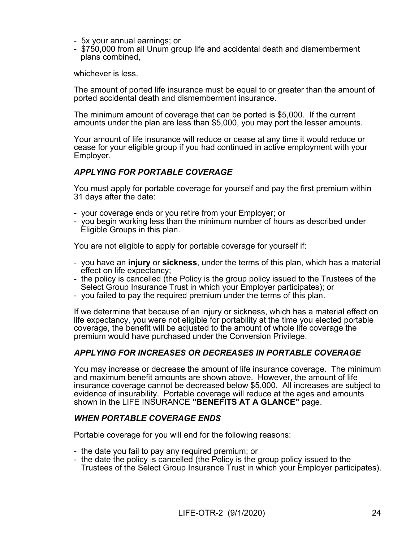- 5x your annual earnings; or
- \$750,000 from all Unum group life and accidental death and dismemberment plans combined,

whichever is less.

The amount of ported life insurance must be equal to or greater than the amount of ported accidental death and dismemberment insurance.

The minimum amount of coverage that can be ported is \$5,000. If the current amounts under the plan are less than \$5,000, you may port the lesser amounts.

Your amount of life insurance will reduce or cease at any time it would reduce or cease for your eligible group if you had continued in active employment with your Employer.

# *APPLYING FOR PORTABLE COVERAGE*

You must apply for portable coverage for yourself and pay the first premium within 31 days after the date:

- your coverage ends or you retire from your Employer; or
- you begin working less than the minimum number of hours as described under Eligible Groups in this plan.

You are not eligible to apply for portable coverage for yourself if:

- you have an **injury** or **sickness**, under the terms of this plan, which has a material effect on life expectancy;
- the policy is cancelled (the Policy is the group policy issued to the Trustees of the Select Group Insurance Trust in which your Employer participates); or
- you failed to pay the required premium under the terms of this plan.

If we determine that because of an injury or sickness, which has a material effect on life expectancy, you were not eligible for portability at the time you elected portable coverage, the benefit will be adjusted to the amount of whole life coverage the premium would have purchased under the Conversion Privilege.

# *APPLYING FOR INCREASES OR DECREASES IN PORTABLE COVERAGE*

You may increase or decrease the amount of life insurance coverage. The minimum and maximum benefit amounts are shown above. However, the amount of life insurance coverage cannot be decreased below \$5,000. All increases are subject to evidence of insurability. Portable coverage will reduce at the ages and amounts shown in the LIFE INSURANCE **"BENEFITS AT A GLANCE"** page.

# *WHEN PORTABLE COVERAGE ENDS*

Portable coverage for you will end for the following reasons:

- the date you fail to pay any required premium; or
- the date the policy is cancelled (the Policy is the group policy issued to the Trustees of the Select Group Insurance Trust in which your Employer participates).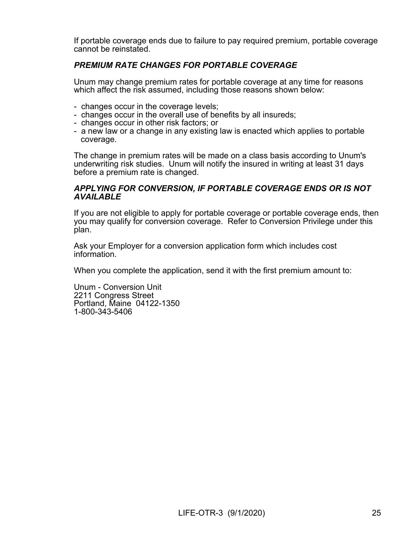If portable coverage ends due to failure to pay required premium, portable coverage cannot be reinstated.

# *PREMIUM RATE CHANGES FOR PORTABLE COVERAGE*

Unum may change premium rates for portable coverage at any time for reasons which affect the risk assumed, including those reasons shown below:

- changes occur in the coverage levels;
- changes occur in the overall use of benefits by all insureds;
- changes occur in other risk factors; or
- a new law or a change in any existing law is enacted which applies to portable coverage.

The change in premium rates will be made on a class basis according to Unum's underwriting risk studies. Unum will notify the insured in writing at least 31 days before a premium rate is changed.

# *APPLYING FOR CONVERSION, IF PORTABLE COVERAGE ENDS OR IS NOT AVAILABLE*

If you are not eligible to apply for portable coverage or portable coverage ends, then you may qualify for conversion coverage. Refer to Conversion Privilege under this plan.

Ask your Employer for a conversion application form which includes cost information.

When you complete the application, send it with the first premium amount to:

Unum - Conversion Unit 2211 Congress Street Portland, Maine 04122-1350 1-800-343-5406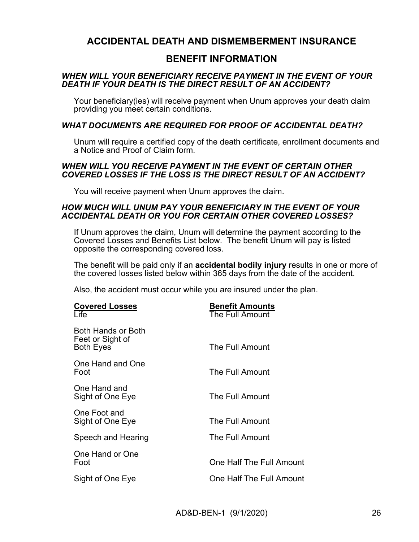# **ACCIDENTAL DEATH AND DISMEMBERMENT INSURANCE**

# **BENEFIT INFORMATION**

# *WHEN WILL YOUR BENEFICIARY RECEIVE PAYMENT IN THE EVENT OF YOUR DEATH IF YOUR DEATH IS THE DIRECT RESULT OF AN ACCIDENT?*

Your beneficiary(ies) will receive payment when Unum approves your death claim providing you meet certain conditions.

# *WHAT DOCUMENTS ARE REQUIRED FOR PROOF OF ACCIDENTAL DEATH?*

Unum will require a certified copy of the death certificate, enrollment documents and a Notice and Proof of Claim form.

# *WHEN WILL YOU RECEIVE PAYMENT IN THE EVENT OF CERTAIN OTHER COVERED LOSSES IF THE LOSS IS THE DIRECT RESULT OF AN ACCIDENT?*

You will receive payment when Unum approves the claim.

# *HOW MUCH WILL UNUM PAY YOUR BENEFICIARY IN THE EVENT OF YOUR ACCIDENTAL DEATH OR YOU FOR CERTAIN OTHER COVERED LOSSES?*

If Unum approves the claim, Unum will determine the payment according to the Covered Losses and Benefits List below. The benefit Unum will pay is listed opposite the corresponding covered loss.

The benefit will be paid only if an **accidental bodily injury** results in one or more of the covered losses listed below within 365 days from the date of the accident.

Also, the accident must occur while you are insured under the plan.

| <b>Covered Losses</b><br>Life                              | <b>Benefit Amounts</b><br>The Full Amount |
|------------------------------------------------------------|-------------------------------------------|
| Both Hands or Both<br>Feet or Sight of<br><b>Both Eyes</b> | The Full Amount                           |
| One Hand and One<br>Foot                                   | The Full Amount                           |
| One Hand and<br>Sight of One Eye                           | The Full Amount                           |
| One Foot and<br>Sight of One Eye                           | The Full Amount                           |
| Speech and Hearing                                         | The Full Amount                           |
| One Hand or One<br>Foot                                    | One Half The Full Amount                  |
| Sight of One Eye                                           | One Half The Full Amount                  |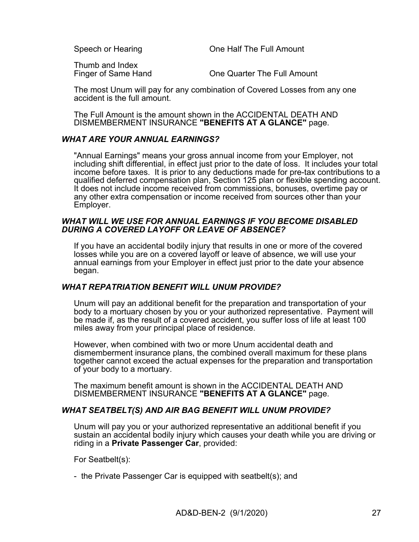Speech or Hearing **Speech of Hearing Cone Half The Full Amount** 

Thumb and Index

Finger of Same Hand **Canada Cone Quarter The Full Amount** 

The most Unum will pay for any combination of Covered Losses from any one accident is the full amount.

The Full Amount is the amount shown in the ACCIDENTAL DEATH AND DISMEMBERMENT INSURANCE **"BENEFITS AT A GLANCE"** page.

# *WHAT ARE YOUR ANNUAL EARNINGS?*

"Annual Earnings" means your gross annual income from your Employer, not including shift differential, in effect just prior to the date of loss. It includes your total income before taxes. It is prior to any deductions made for pre-tax contributions to a qualified deferred compensation plan, Section 125 plan or flexible spending account. It does not include income received from commissions, bonuses, overtime pay or any other extra compensation or income received from sources other than your Employer.

# *WHAT WILL WE USE FOR ANNUAL EARNINGS IF YOU BECOME DISABLED DURING A COVERED LAYOFF OR LEAVE OF ABSENCE?*

If you have an accidental bodily injury that results in one or more of the covered losses while you are on a covered layoff or leave of absence, we will use your annual earnings from your Employer in effect just prior to the date your absence began.

# *WHAT REPATRIATION BENEFIT WILL UNUM PROVIDE?*

Unum will pay an additional benefit for the preparation and transportation of your body to a mortuary chosen by you or your authorized representative. Payment will be made if, as the result of a covered accident, you suffer loss of life at least 100 miles away from your principal place of residence.

However, when combined with two or more Unum accidental death and dismemberment insurance plans, the combined overall maximum for these plans together cannot exceed the actual expenses for the preparation and transportation of your body to a mortuary.

The maximum benefit amount is shown in the ACCIDENTAL DEATH AND DISMEMBERMENT INSURANCE **"BENEFITS AT A GLANCE"** page.

# *WHAT SEATBELT(S) AND AIR BAG BENEFIT WILL UNUM PROVIDE?*

Unum will pay you or your authorized representative an additional benefit if you sustain an accidental bodily injury which causes your death while you are driving or riding in a **Private Passenger Car**, provided:

For Seatbelt(s):

- the Private Passenger Car is equipped with seatbelt(s); and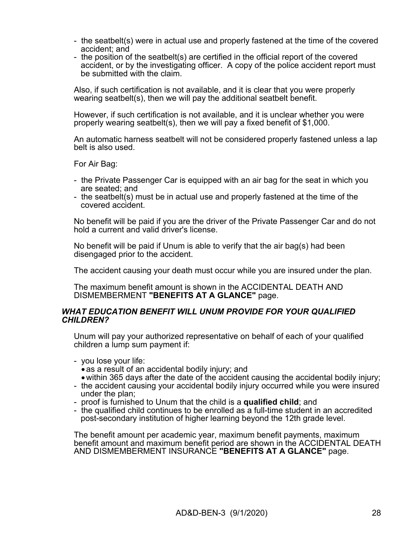- the seatbelt(s) were in actual use and properly fastened at the time of the covered accident; and
- the position of the seatbelt(s) are certified in the official report of the covered accident, or by the investigating officer. A copy of the police accident report must be submitted with the claim.

Also, if such certification is not available, and it is clear that you were properly wearing seatbelt(s), then we will pay the additional seatbelt benefit.

However, if such certification is not available, and it is unclear whether you were properly wearing seatbelt(s), then we will pay a fixed benefit of \$1,000.

An automatic harness seatbelt will not be considered properly fastened unless a lap belt is also used.

For Air Bag:

- the Private Passenger Car is equipped with an air bag for the seat in which you are seated; and
- the seatbelt(s) must be in actual use and properly fastened at the time of the covered accident.

No benefit will be paid if you are the driver of the Private Passenger Car and do not hold a current and valid driver's license.

No benefit will be paid if Unum is able to verify that the air bag(s) had been disengaged prior to the accident.

The accident causing your death must occur while you are insured under the plan.

The maximum benefit amount is shown in the ACCIDENTAL DEATH AND DISMEMBERMENT **"BENEFITS AT A GLANCE"** page.

### *WHAT EDUCATION BENEFIT WILL UNUM PROVIDE FOR YOUR QUALIFIED CHILDREN?*

Unum will pay your authorized representative on behalf of each of your qualified children a lump sum payment if:

- you lose your life:
	- as a result of an accidental bodily injury; and
	- within 365 days after the date of the accident causing the accidental bodily injury;
- the accident causing your accidental bodily injury occurred while you were insured under the plan;
- proof is furnished to Unum that the child is a **qualified child**; and
- the qualified child continues to be enrolled as a full-time student in an accredited post-secondary institution of higher learning beyond the 12th grade level.

The benefit amount per academic year, maximum benefit payments, maximum benefit amount and maximum benefit period are shown in the ACCIDENTAL DEATH AND DISMEMBERMENT INSURANCE **"BENEFITS AT A GLANCE"** page.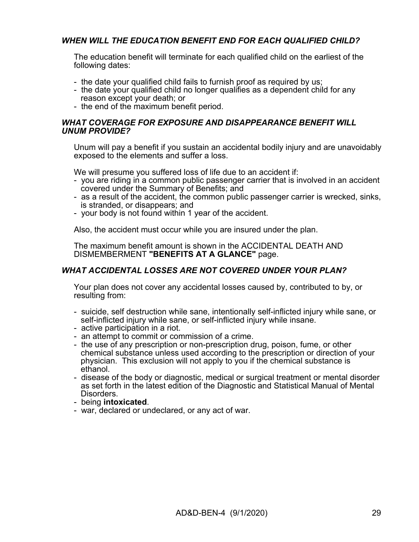# *WHEN WILL THE EDUCATION BENEFIT END FOR EACH QUALIFIED CHILD?*

The education benefit will terminate for each qualified child on the earliest of the following dates:

- the date your qualified child fails to furnish proof as required by us;
- the date your qualified child no longer qualifies as a dependent child for any reason except your death; or
- the end of the maximum benefit period.

### *WHAT COVERAGE FOR EXPOSURE AND DISAPPEARANCE BENEFIT WILL UNUM PROVIDE?*

Unum will pay a benefit if you sustain an accidental bodily injury and are unavoidably exposed to the elements and suffer a loss.

We will presume you suffered loss of life due to an accident if:

- you are riding in a common public passenger carrier that is involved in an accident covered under the Summary of Benefits; and
- as a result of the accident, the common public passenger carrier is wrecked, sinks, is stranded, or disappears; and
- your body is not found within 1 year of the accident.

Also, the accident must occur while you are insured under the plan.

The maximum benefit amount is shown in the ACCIDENTAL DEATH AND DISMEMBERMENT **"BENEFITS AT A GLANCE"** page.

# *WHAT ACCIDENTAL LOSSES ARE NOT COVERED UNDER YOUR PLAN?*

Your plan does not cover any accidental losses caused by, contributed to by, or resulting from:

- suicide, self destruction while sane, intentionally self-inflicted injury while sane, or self-inflicted injury while sane, or self-inflicted injury while insane.
- active participation in a riot.
- an attempt to commit or commission of a crime.
- the use of any prescription or non-prescription drug, poison, fume, or other chemical substance unless used according to the prescription or direction of your physician. This exclusion will not apply to you if the chemical substance is ethanol.
- disease of the body or diagnostic, medical or surgical treatment or mental disorder as set forth in the latest edition of the Diagnostic and Statistical Manual of Mental Disorders.
- being **intoxicated**.
- war, declared or undeclared, or any act of war.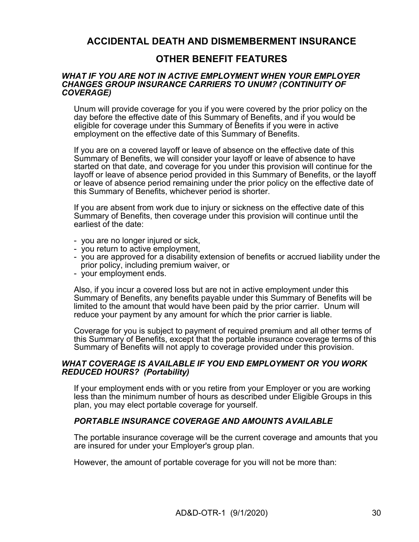# **ACCIDENTAL DEATH AND DISMEMBERMENT INSURANCE**

# **OTHER BENEFIT FEATURES**

#### *WHAT IF YOU ARE NOT IN ACTIVE EMPLOYMENT WHEN YOUR EMPLOYER CHANGES GROUP INSURANCE CARRIERS TO UNUM? (CONTINUITY OF COVERAGE)*

Unum will provide coverage for you if you were covered by the prior policy on the day before the effective date of this Summary of Benefits, and if you would be eligible for coverage under this Summary of Benefits if you were in active employment on the effective date of this Summary of Benefits.

If you are on a covered layoff or leave of absence on the effective date of this Summary of Benefits, we will consider your layoff or leave of absence to have started on that date, and coverage for you under this provision will continue for the layoff or leave of absence period provided in this Summary of Benefits, or the layoff or leave of absence period remaining under the prior policy on the effective date of this Summary of Benefits, whichever period is shorter.

If you are absent from work due to injury or sickness on the effective date of this Summary of Benefits, then coverage under this provision will continue until the earliest of the date:

- you are no longer injured or sick,
- you return to active employment,
- you are approved for a disability extension of benefits or accrued liability under the prior policy, including premium waiver, or
- your employment ends.

Also, if you incur a covered loss but are not in active employment under this Summary of Benefits, any benefits payable under this Summary of Benefits will be limited to the amount that would have been paid by the prior carrier. Unum will reduce your payment by any amount for which the prior carrier is liable.

Coverage for you is subject to payment of required premium and all other terms of this Summary of Benefits, except that the portable insurance coverage terms of this Summary of Benefits will not apply to coverage provided under this provision.

# *WHAT COVERAGE IS AVAILABLE IF YOU END EMPLOYMENT OR YOU WORK REDUCED HOURS? (Portability)*

If your employment ends with or you retire from your Employer or you are working less than the minimum number of hours as described under Eligible Groups in this plan, you may elect portable coverage for yourself.

# *PORTABLE INSURANCE COVERAGE AND AMOUNTS AVAILABLE*

The portable insurance coverage will be the current coverage and amounts that you are insured for under your Employer's group plan.

However, the amount of portable coverage for you will not be more than: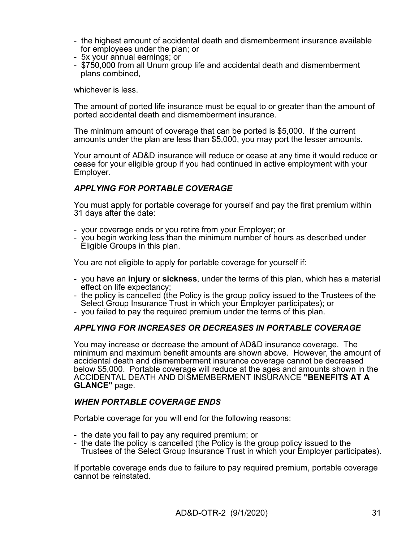- the highest amount of accidental death and dismemberment insurance available for employees under the plan; or
- 5x your annual earnings; or
- \$750,000 from all Unum group life and accidental death and dismemberment plans combined,

whichever is less.

The amount of ported life insurance must be equal to or greater than the amount of ported accidental death and dismemberment insurance.

The minimum amount of coverage that can be ported is \$5,000. If the current amounts under the plan are less than \$5,000, you may port the lesser amounts.

Your amount of AD&D insurance will reduce or cease at any time it would reduce or cease for your eligible group if you had continued in active employment with your Employer.

# *APPLYING FOR PORTABLE COVERAGE*

You must apply for portable coverage for yourself and pay the first premium within 31 days after the date:

- your coverage ends or you retire from your Employer; or
- you begin working less than the minimum number of hours as described under Eligible Groups in this plan.

You are not eligible to apply for portable coverage for yourself if:

- you have an **injury** or **sickness**, under the terms of this plan, which has a material effect on life expectancy;
- the policy is cancelled (the Policy is the group policy issued to the Trustees of the Select Group Insurance Trust in which your Employer participates); or
- you failed to pay the required premium under the terms of this plan.

# *APPLYING FOR INCREASES OR DECREASES IN PORTABLE COVERAGE*

You may increase or decrease the amount of AD&D insurance coverage. The minimum and maximum benefit amounts are shown above. However, the amount of accidental death and dismemberment insurance coverage cannot be decreased below \$5,000. Portable coverage will reduce at the ages and amounts shown in the ACCIDENTAL DEATH AND DISMEMBERMENT INSURANCE **"BENEFITS AT A GLANCE"** page.

# *WHEN PORTABLE COVERAGE ENDS*

Portable coverage for you will end for the following reasons:

- the date you fail to pay any required premium; or
- the date the policy is cancelled (the Policy is the group policy issued to the Trustees of the Select Group Insurance Trust in which your Employer participates).

If portable coverage ends due to failure to pay required premium, portable coverage cannot be reinstated.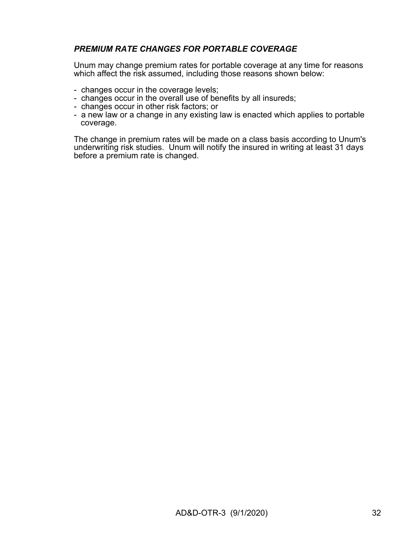# *PREMIUM RATE CHANGES FOR PORTABLE COVERAGE*

Unum may change premium rates for portable coverage at any time for reasons which affect the risk assumed, including those reasons shown below:

- changes occur in the coverage levels;
- changes occur in the overall use of benefits by all insureds;
- changes occur in other risk factors; or
- a new law or a change in any existing law is enacted which applies to portable coverage.

The change in premium rates will be made on a class basis according to Unum's underwriting risk studies. Unum will notify the insured in writing at least 31 days before a premium rate is changed.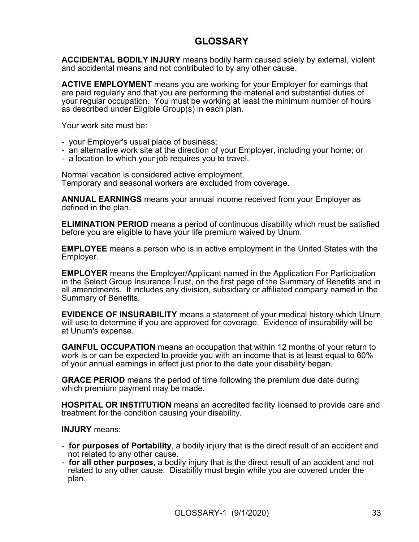# **GLOSSARY**

**ACCIDENTAL BODILY INJURY** means bodily harm caused solely by external, violent and accidental means and not contributed to by any other cause.

**ACTIVE EMPLOYMENT** means you are working for your Employer for earnings that are paid regularly and that you are performing the material and substantial duties of your regular occupation. You must be working at least the minimum number of hours as described under Eligible Group(s) in each plan.

Your work site must be:

- your Employer's usual place of business;
- an alternative work site at the direction of your Employer, including your home; or
- a location to which your job requires you to travel.

Normal vacation is considered active employment. Temporary and seasonal workers are excluded from coverage.

**ANNUAL EARNINGS** means your annual income received from your Employer as defined in the plan.

**ELIMINATION PERIOD** means a period of continuous disability which must be satisfied before you are eligible to have your life premium waived by Unum.

**EMPLOYEE** means a person who is in active employment in the United States with the Employer.

**EMPLOYER** means the Employer/Applicant named in the Application For Participation in the Select Group Insurance Trust, on the first page of the Summary of Benefits and in all amendments. It includes any division, subsidiary or affiliated company named in the Summary of Benefits.

**EVIDENCE OF INSURABILITY** means a statement of your medical history which Unum will use to determine if you are approved for coverage. Evidence of insurability will be at Unum's expense.

**GAINFUL OCCUPATION** means an occupation that within 12 months of your return to work is or can be expected to provide you with an income that is at least equal to 60% of your annual earnings in effect just prior to the date your disability began.

**GRACE PERIOD** means the period of time following the premium due date during which premium payment may be made.

**HOSPITAL OR INSTITUTION** means an accredited facility licensed to provide care and treatment for the condition causing your disability.

### **INJURY** means:

- **for purposes of Portability**, a bodily injury that is the direct result of an accident and not related to any other cause.
- **for all other purposes**, a bodily injury that is the direct result of an accident and not related to any other cause. Disability must begin while you are covered under the plan.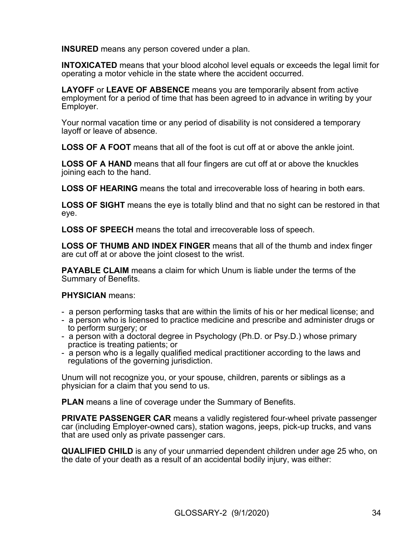**INSURED** means any person covered under a plan.

**INTOXICATED** means that your blood alcohol level equals or exceeds the legal limit for operating a motor vehicle in the state where the accident occurred.

**LAYOFF** or **LEAVE OF ABSENCE** means you are temporarily absent from active employment for a period of time that has been agreed to in advance in writing by your Employer.

Your normal vacation time or any period of disability is not considered a temporary layoff or leave of absence.

**LOSS OF A FOOT** means that all of the foot is cut off at or above the ankle joint.

**LOSS OF A HAND** means that all four fingers are cut off at or above the knuckles joining each to the hand.

**LOSS OF HEARING** means the total and irrecoverable loss of hearing in both ears.

**LOSS OF SIGHT** means the eye is totally blind and that no sight can be restored in that eye.

**LOSS OF SPEECH** means the total and irrecoverable loss of speech.

**LOSS OF THUMB AND INDEX FINGER** means that all of the thumb and index finger are cut off at or above the joint closest to the wrist.

**PAYABLE CLAIM** means a claim for which Unum is liable under the terms of the Summary of Benefits.

# **PHYSICIAN** means:

- a person performing tasks that are within the limits of his or her medical license; and
- a person who is licensed to practice medicine and prescribe and administer drugs or to perform surgery; or
- a person with a doctoral degree in Psychology (Ph.D. or Psy.D.) whose primary practice is treating patients; or
- a person who is a legally qualified medical practitioner according to the laws and regulations of the governing jurisdiction.

Unum will not recognize you, or your spouse, children, parents or siblings as a physician for a claim that you send to us.

**PLAN** means a line of coverage under the Summary of Benefits.

**PRIVATE PASSENGER CAR** means a validly registered four-wheel private passenger car (including Employer-owned cars), station wagons, jeeps, pick-up trucks, and vans that are used only as private passenger cars.

**QUALIFIED CHILD** is any of your unmarried dependent children under age 25 who, on the date of your death as a result of an accidental bodily injury, was either: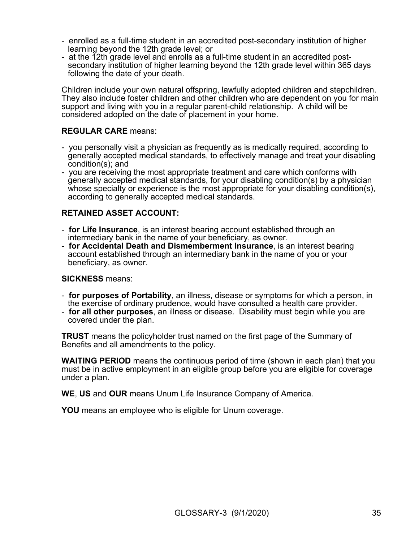- enrolled as a full-time student in an accredited post-secondary institution of higher learning beyond the 12th grade level; or
- at the 12th grade level and enrolls as a full-time student in an accredited postsecondary institution of higher learning beyond the 12th grade level within 365 days following the date of your death.

Children include your own natural offspring, lawfully adopted children and stepchildren. They also include foster children and other children who are dependent on you for main support and living with you in a regular parent-child relationship. A child will be considered adopted on the date of placement in your home.

# **REGULAR CARE** means:

- you personally visit a physician as frequently as is medically required, according to generally accepted medical standards, to effectively manage and treat your disabling condition(s); and
- you are receiving the most appropriate treatment and care which conforms with generally accepted medical standards, for your disabling condition(s) by a physician whose specialty or experience is the most appropriate for your disabling condition(s), according to generally accepted medical standards.

# **RETAINED ASSET ACCOUNT:**

- **for Life Insurance**, is an interest bearing account established through an intermediary bank in the name of your beneficiary, as owner.
- **for Accidental Death and Dismemberment Insurance**, is an interest bearing account established through an intermediary bank in the name of you or your beneficiary, as owner.

# **SICKNESS** means:

- **for purposes of Portability**, an illness, disease or symptoms for which a person, in the exercise of ordinary prudence, would have consulted a health care provider.
- **for all other purposes**, an illness or disease. Disability must begin while you are covered under the plan.

**TRUST** means the policyholder trust named on the first page of the Summary of Benefits and all amendments to the policy.

**WAITING PERIOD** means the continuous period of time (shown in each plan) that you must be in active employment in an eligible group before you are eligible for coverage under a plan.

**WE**, **US** and **OUR** means Unum Life Insurance Company of America.

**YOU** means an employee who is eligible for Unum coverage.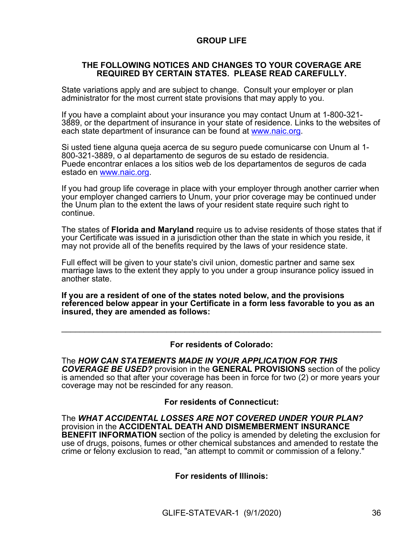# **GROUP LIFE**

### **THE FOLLOWING NOTICES AND CHANGES TO YOUR COVERAGE ARE REQUIRED BY CERTAIN STATES. PLEASE READ CAREFULLY.**

State variations apply and are subject to change. Consult your employer or plan administrator for the most current state provisions that may apply to you.

If you have a complaint about your insurance you may contact Unum at 1-800-321- 3889, or the department of insurance in your state of residence. Links to the websites of each state department of insurance can be found at [www.naic.org.](http://www.naic.org/)

Si usted tiene alguna queja acerca de su seguro puede comunicarse con Unum al 1- 800-321-3889, o al departamento de seguros de su estado de residencia. Puede encontrar enlaces a los sitios web de los departamentos de seguros de cada estado en [www.naic.org](http://www.naic.org/).

If you had group life coverage in place with your employer through another carrier when your employer changed carriers to Unum, your prior coverage may be continued under the Unum plan to the extent the laws of your resident state require such right to continue.

The states of **Florida and Maryland** require us to advise residents of those states that if your Certificate was issued in a jurisdiction other than the state in which you reside, it may not provide all of the benefits required by the laws of your residence state.

Full effect will be given to your state's civil union, domestic partner and same sex marriage laws to the extent they apply to you under a group insurance policy issued in another state.

**If you are a resident of one of the states noted below, and the provisions referenced below appear in your Certificate in a form less favorable to you as an insured, they are amended as follows:**

#### **For residents of Colorado:**

 $\mathcal{L}_\text{max} = \mathcal{L}_\text{max} = \mathcal{L}_\text{max} = \mathcal{L}_\text{max} = \mathcal{L}_\text{max} = \mathcal{L}_\text{max} = \mathcal{L}_\text{max} = \mathcal{L}_\text{max} = \mathcal{L}_\text{max} = \mathcal{L}_\text{max} = \mathcal{L}_\text{max} = \mathcal{L}_\text{max} = \mathcal{L}_\text{max} = \mathcal{L}_\text{max} = \mathcal{L}_\text{max} = \mathcal{L}_\text{max} = \mathcal{L}_\text{max} = \mathcal{L}_\text{max} = \mathcal{$ 

The *HOW CAN STATEMENTS MADE IN YOUR APPLICATION FOR THIS COVERAGE BE USED?* provision in the **GENERAL PROVISIONS** section of the policy is amended so that after your coverage has been in force for two (2) or more years your coverage may not be rescinded for any reason.

#### **For residents of Connecticut:**

The *WHAT ACCIDENTAL LOSSES ARE NOT COVERED UNDER YOUR PLAN?* provision in the **ACCIDENTAL DEATH AND DISMEMBERMENT INSURANCE BENEFIT INFORMATION** section of the policy is amended by deleting the exclusion for use of drugs, poisons, fumes or other chemical substances and amended to restate the crime or felony exclusion to read, "an attempt to commit or commission of a felony."

**For residents of Illinois:**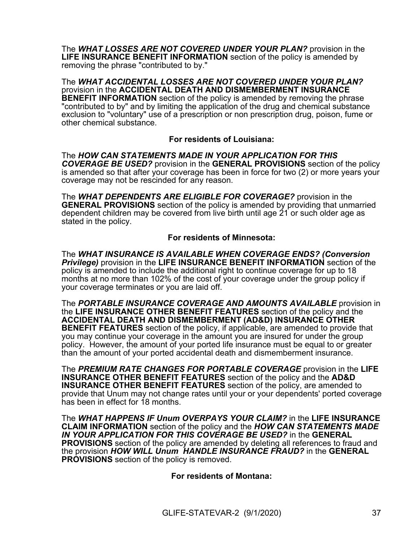The *WHAT LOSSES ARE NOT COVERED UNDER YOUR PLAN?* provision in the **LIFE INSURANCE BENEFIT INFORMATION** section of the policy is amended by removing the phrase "contributed to by."

The *WHAT ACCIDENTAL LOSSES ARE NOT COVERED UNDER YOUR PLAN?* provision in the **ACCIDENTAL DEATH AND DISMEMBERMENT INSURANCE BENEFIT INFORMATION** section of the policy is amended by removing the phrase "contributed to by" and by limiting the application of the drug and chemical substance exclusion to "voluntary" use of a prescription or non prescription drug, poison, fume or other chemical substance.

# **For residents of Louisiana:**

The *HOW CAN STATEMENTS MADE IN YOUR APPLICATION FOR THIS COVERAGE BE USED?* provision in the **GENERAL PROVISIONS** section of the policy is amended so that after your coverage has been in force for two (2) or more years your coverage may not be rescinded for any reason.

The *WHAT DEPENDENTS ARE ELIGIBLE FOR COVERAGE?* provision in the **GENERAL PROVISIONS** section of the policy is amended by providing that unmarried dependent children may be covered from live birth until age 21 or such older age as stated in the policy.

# **For residents of Minnesota:**

The *WHAT INSURANCE IS AVAILABLE WHEN COVERAGE ENDS? (Conversion Privilege)* provision in the **LIFE INSURANCE BENEFIT INFORMATION** section of the policy is amended to include the additional right to continue coverage for up to 18 months at no more than 102% of the cost of your coverage under the group policy if your coverage terminates or you are laid off.

The *PORTABLE INSURANCE COVERAGE AND AMOUNTS AVAILABLE* provision in the **LIFE INSURANCE OTHER BENEFIT FEATURES** section of the policy and the **ACCIDENTAL DEATH AND DISMEMBERMENT (AD&D) INSURANCE OTHER BENEFIT FEATURES** section of the policy, if applicable, are amended to provide that you may continue your coverage in the amount you are insured for under the group policy. However, the amount of your ported life insurance must be equal to or greater than the amount of your ported accidental death and dismemberment insurance.

The *PREMIUM RATE CHANGES FOR PORTABLE COVERAGE* provision in the **LIFE INSURANCE OTHER BENEFIT FEATURES** section of the policy and the **AD&D INSURANCE OTHER BENEFIT FEATURES** section of the policy, are amended to provide that Unum may not change rates until your or your dependents' ported coverage has been in effect for 18 months.

The *WHAT HAPPENS IF Unum OVERPAYS YOUR CLAIM?* in the **LIFE INSURANCE CLAIM INFORMATION** section of the policy and the *HOW CAN STATEMENTS MADE IN YOUR APPLICATION FOR THIS COVERAGE BE USED?* in the **GENERAL PROVISIONS** section of the policy are amended by deleting all references to fraud and the provision *HOW WILL Unum HANDLE INSURANCE FRAUD?* in the **GENERAL PROVISIONS** section of the policy is removed.

**For residents of Montana:**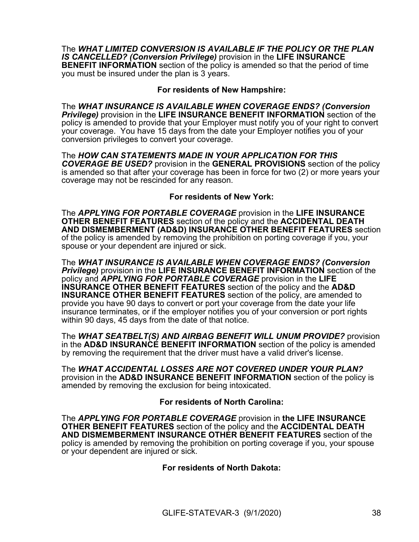The *WHAT LIMITED CONVERSION IS AVAILABLE IF THE POLICY OR THE PLAN IS CANCELLED? (Conversion Privilege)* provision in the **LIFE INSURANCE BENEFIT INFORMATION** section of the policy is amended so that the period of time you must be insured under the plan is 3 years.

# **For residents of New Hampshire:**

The *WHAT INSURANCE IS AVAILABLE WHEN COVERAGE ENDS? (Conversion Privilege)* provision in the **LIFE INSURANCE BENEFIT INFORMATION** section of the policy is amended to provide that your Employer must notify you of your right to convert your coverage. You have 15 days from the date your Employer notifies you of your conversion privileges to convert your coverage.

The *HOW CAN STATEMENTS MADE IN YOUR APPLICATION FOR THIS COVERAGE BE USED?* provision in the **GENERAL PROVISIONS** section of the policy is amended so that after your coverage has been in force for two (2) or more years your coverage may not be rescinded for any reason.

# **For residents of New York:**

The *APPLYING FOR PORTABLE COVERAGE* provision in the **LIFE INSURANCE OTHER BENEFIT FEATURES** section of the policy and the **ACCIDENTAL DEATH AND DISMEMBERMENT (AD&D) INSURANCE OTHER BENEFIT FEATURES** section of the policy is amended by removing the prohibition on porting coverage if you, your spouse or your dependent are injured or sick.

The *WHAT INSURANCE IS AVAILABLE WHEN COVERAGE ENDS? (Conversion Privilege)* provision in the **LIFE INSURANCE BENEFIT INFORMATION** section of the policy and *APPLYING FOR PORTABLE COVERAGE* provision in the **LIFE INSURANCE OTHER BENEFIT FEATURES** section of the policy and the **AD&D INSURANCE OTHER BENEFIT FEATURES** section of the policy, are amended to provide you have 90 days to convert or port your coverage from the date your life insurance terminates, or if the employer notifies you of your conversion or port rights within 90 days, 45 days from the date of that notice.

The *WHAT SEATBELT(S) AND AIRBAG BENEFIT WILL UNUM PROVIDE?* provision in the **AD&D INSURANCE BENEFIT INFORMATION** section of the policy is amended by removing the requirement that the driver must have a valid driver's license.

The *WHAT ACCIDENTAL LOSSES ARE NOT COVERED UNDER YOUR PLAN?* provision in the **AD&D INSURANCE BENEFIT INFORMATION** section of the policy is amended by removing the exclusion for being intoxicated.

# **For residents of North Carolina:**

The *APPLYING FOR PORTABLE COVERAGE* provision in **the LIFE INSURANCE OTHER BENEFIT FEATURES** section of the policy and the **ACCIDENTAL DEATH AND DISMEMBERMENT INSURANCE OTHER BENEFIT FEATURES** section of the policy is amended by removing the prohibition on porting coverage if you, your spouse or your dependent are injured or sick.

# **For residents of North Dakota:**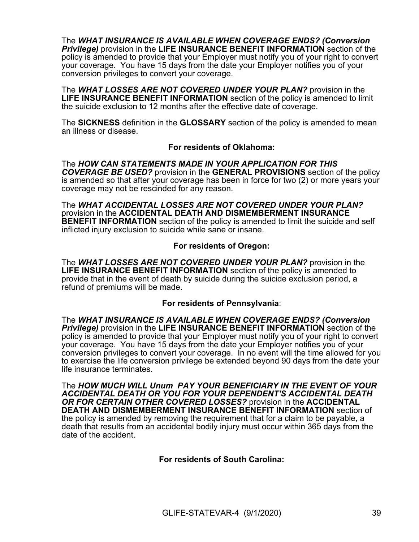The *WHAT INSURANCE IS AVAILABLE WHEN COVERAGE ENDS? (Conversion Privilege)* provision in the **LIFE INSURANCE BENEFIT INFORMATION** section of the policy is amended to provide that your Employer must notify you of your right to convert your coverage. You have 15 days from the date your Employer notifies you of your conversion privileges to convert your coverage.

The *WHAT LOSSES ARE NOT COVERED UNDER YOUR PLAN?* provision in the **LIFE INSURANCE BENEFIT INFORMATION** section of the policy is amended to limit the suicide exclusion to 12 months after the effective date of coverage.

The **SICKNESS** definition in the **GLOSSARY** section of the policy is amended to mean an illness or disease.

# **For residents of Oklahoma:**

The *HOW CAN STATEMENTS MADE IN YOUR APPLICATION FOR THIS COVERAGE BE USED?* provision in the **GENERAL PROVISIONS** section of the policy is amended so that after your coverage has been in force for two (2) or more years your coverage may not be rescinded for any reason.

The *WHAT ACCIDENTAL LOSSES ARE NOT COVERED UNDER YOUR PLAN?* provision in the **ACCIDENTAL DEATH AND DISMEMBERMENT INSURANCE BENEFIT INFORMATION** section of the policy is amended to limit the suicide and self inflicted injury exclusion to suicide while sane or insane.

# **For residents of Oregon:**

The *WHAT LOSSES ARE NOT COVERED UNDER YOUR PLAN?* provision in the **LIFE INSURANCE BENEFIT INFORMATION** section of the policy is amended to provide that in the event of death by suicide during the suicide exclusion period, a refund of premiums will be made.

# **For residents of Pennsylvania**:

The *WHAT INSURANCE IS AVAILABLE WHEN COVERAGE ENDS? (Conversion Privilege)* provision in the **LIFE INSURANCE BENEFIT INFORMATION** section of the policy is amended to provide that your Employer must notify you of your right to convert your coverage. You have 15 days from the date your Employer notifies you of your conversion privileges to convert your coverage. In no event will the time allowed for you to exercise the life conversion privilege be extended beyond 90 days from the date your life insurance terminates.

The *HOW MUCH WILL Unum PAY YOUR BENEFICIARY IN THE EVENT OF YOUR ACCIDENTAL DEATH OR YOU FOR YOUR DEPENDENT'S ACCIDENTAL DEATH OR FOR CERTAIN OTHER COVERED LOSSES?* provision in the **ACCIDENTAL DEATH AND DISMEMBERMENT INSURANCE BENEFIT INFORMATION** section of the policy is amended by removing the requirement that for a claim to be payable, a death that results from an accidental bodily injury must occur within 365 days from the date of the accident.

# **For residents of South Carolina:**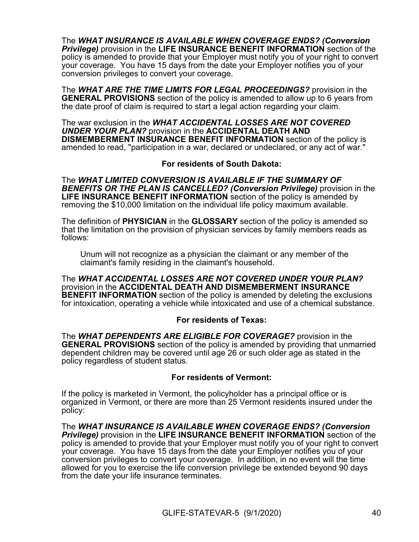The *WHAT INSURANCE IS AVAILABLE WHEN COVERAGE ENDS? (Conversion Privilege)* provision in the **LIFE INSURANCE BENEFIT INFORMATION** section of the policy is amended to provide that your Employer must notify you of your right to convert your coverage. You have 15 days from the date your Employer notifies you of your conversion privileges to convert your coverage.

The *WHAT ARE THE TIME LIMITS FOR LEGAL PROCEEDINGS?* provision in the **GENERAL PROVISIONS** section of the policy is amended to allow up to 6 years from the date proof of claim is required to start a legal action regarding your claim.

The war exclusion in the *WHAT ACCIDENTAL LOSSES ARE NOT COVERED UNDER YOUR PLAN?* provision in the **ACCIDENTAL DEATH AND DISMEMBERMENT INSURANCE BENEFIT INFORMATION** section of the policy is amended to read, "participation in a war, declared or undeclared, or any act of war."

# **For residents of South Dakota:**

The *WHAT LIMITED CONVERSION IS AVAILABLE IF THE SUMMARY OF BENEFITS OR THE PLAN IS CANCELLED? (Conversion Privilege)* provision in the **LIFE INSURANCE BENEFIT INFORMATION** section of the policy is amended by removing the \$10,000 limitation on the individual life policy maximum available.

The definition of **PHYSICIAN** in the **GLOSSARY** section of the policy is amended so that the limitation on the provision of physician services by family members reads as follows:

Unum will not recognize as a physician the claimant or any member of the claimant's family residing in the claimant's household.

The *WHAT ACCIDENTAL LOSSES ARE NOT COVERED UNDER YOUR PLAN?* provision in the **ACCIDENTAL DEATH AND DISMEMBERMENT INSURANCE BENEFIT INFORMATION** section of the policy is amended by deleting the exclusions for intoxication, operating a vehicle while intoxicated and use of a chemical substance.

# **For residents of Texas:**

The *WHAT DEPENDENTS ARE ELIGIBLE FOR COVERAGE?* provision in the **GENERAL PROVISIONS** section of the policy is amended by providing that unmarried dependent children may be covered until age 26 or such older age as stated in the policy regardless of student status.

# **For residents of Vermont:**

If the policy is marketed in Vermont, the policyholder has a principal office or is organized in Vermont, or there are more than 25 Vermont residents insured under the policy:

The *WHAT INSURANCE IS AVAILABLE WHEN COVERAGE ENDS? (Conversion Privilege)* provision in the **LIFE INSURANCE BENEFIT INFORMATION** section of the policy is amended to provide that your Employer must notify you of your right to convert your coverage. You have 15 days from the date your Employer notifies you of your conversion privileges to convert your coverage. In addition, in no event will the time allowed for you to exercise the life conversion privilege be extended beyond 90 days from the date your life insurance terminates.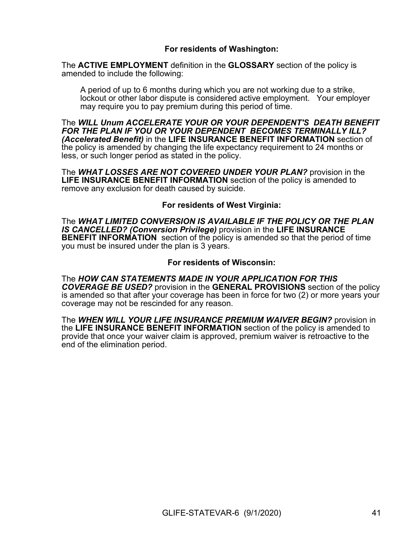# **For residents of Washington:**

The **ACTIVE EMPLOYMENT** definition in the **GLOSSARY** section of the policy is amended to include the following:

A period of up to 6 months during which you are not working due to a strike, lockout or other labor dispute is considered active employment. Your employer may require you to pay premium during this period of time.

The *WILL Unum ACCELERATE YOUR OR YOUR DEPENDENT'S DEATH BENEFIT FOR THE PLAN IF YOU OR YOUR DEPENDENT BECOMES TERMINALLY ILL? (Accelerated Benefit)* in the **LIFE INSURANCE BENEFIT INFORMATION** section of the policy is amended by changing the life expectancy requirement to 24 months or less, or such longer period as stated in the policy.

The *WHAT LOSSES ARE NOT COVERED UNDER YOUR PLAN?* provision in the **LIFE INSURANCE BENEFIT INFORMATION** section of the policy is amended to remove any exclusion for death caused by suicide.

# **For residents of West Virginia:**

The *WHAT LIMITED CONVERSION IS AVAILABLE IF THE POLICY OR THE PLAN IS CANCELLED? (Conversion Privilege)* provision in the **LIFE INSURANCE BENEFIT INFORMATION** section of the policy is amended so that the period of time you must be insured under the plan is 3 years.

#### **For residents of Wisconsin:**

The *HOW CAN STATEMENTS MADE IN YOUR APPLICATION FOR THIS COVERAGE BE USED?* provision in the **GENERAL PROVISIONS** section of the policy is amended so that after your coverage has been in force for two (2) or more years your coverage may not be rescinded for any reason.

The *WHEN WILL YOUR LIFE INSURANCE PREMIUM WAIVER BEGIN?* provision in the **LIFE INSURANCE BENEFIT INFORMATION** section of the policy is amended to provide that once your waiver claim is approved, premium waiver is retroactive to the end of the elimination period.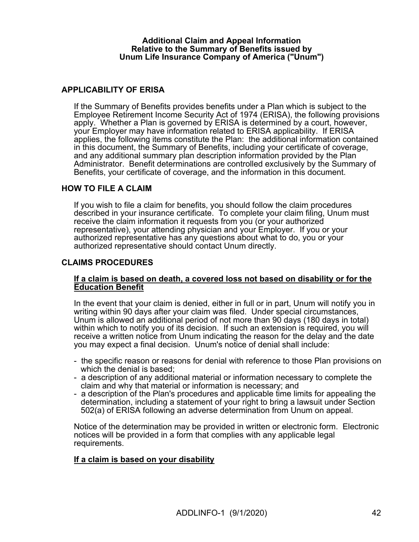### **Additional Claim and Appeal Information Relative to the Summary of Benefits issued by Unum Life Insurance Company of America ("Unum")**

# **APPLICABILITY OF ERISA**

If the Summary of Benefits provides benefits under a Plan which is subject to the Employee Retirement Income Security Act of 1974 (ERISA), the following provisions apply. Whether a Plan is governed by ERISA is determined by a court, however, your Employer may have information related to ERISA applicability. If ERISA applies, the following items constitute the Plan: the additional information contained in this document, the Summary of Benefits, including your certificate of coverage, and any additional summary plan description information provided by the Plan Administrator. Benefit determinations are controlled exclusively by the Summary of Benefits, your certificate of coverage, and the information in this document.

# **HOW TO FILE A CLAIM**

If you wish to file a claim for benefits, you should follow the claim procedures described in your insurance certificate. To complete your claim filing, Unum must receive the claim information it requests from you (or your authorized representative), your attending physician and your Employer. If you or your authorized representative has any questions about what to do, you or your authorized representative should contact Unum directly.

# **CLAIMS PROCEDURES**

### **If a claim is based on death, a covered loss not based on disability or for the Education Benefit**

In the event that your claim is denied, either in full or in part, Unum will notify you in writing within 90 days after your claim was filed. Under special circumstances, Unum is allowed an additional period of not more than 90 days (180 days in total) within which to notify you of its decision. If such an extension is required, you will receive a written notice from Unum indicating the reason for the delay and the date you may expect a final decision. Unum's notice of denial shall include:

- the specific reason or reasons for denial with reference to those Plan provisions on which the denial is based;
- a description of any additional material or information necessary to complete the claim and why that material or information is necessary; and
- a description of the Plan's procedures and applicable time limits for appealing the determination, including a statement of your right to bring a lawsuit under Section 502(a) of ERISA following an adverse determination from Unum on appeal.

Notice of the determination may be provided in written or electronic form. Electronic notices will be provided in a form that complies with any applicable legal requirements.

#### **If a claim is based on your disability**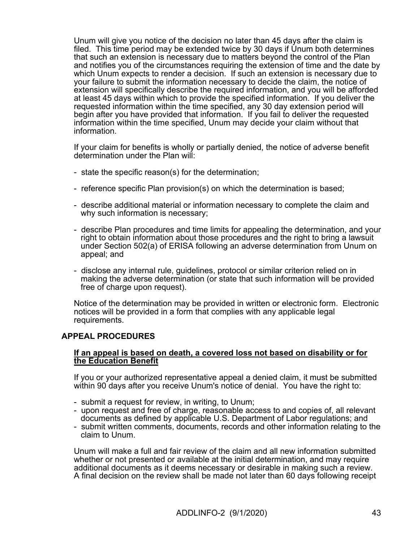Unum will give you notice of the decision no later than 45 days after the claim is filed. This time period may be extended twice by 30 days if Unum both determines that such an extension is necessary due to matters beyond the control of the Plan and notifies you of the circumstances requiring the extension of time and the date by which Unum expects to render a decision. If such an extension is necessary due to your failure to submit the information necessary to decide the claim, the notice of extension will specifically describe the required information, and you will be afforded at least 45 days within which to provide the specified information. If you deliver the requested information within the time specified, any 30 day extension period will begin after you have provided that information. If you fail to deliver the requested information within the time specified, Unum may decide your claim without that information.

If your claim for benefits is wholly or partially denied, the notice of adverse benefit determination under the Plan will:

- state the specific reason(s) for the determination;
- reference specific Plan provision(s) on which the determination is based;
- describe additional material or information necessary to complete the claim and why such information is necessary;
- describe Plan procedures and time limits for appealing the determination, and your right to obtain information about those procedures and the right to bring a lawsuit under Section 502(a) of ERISA following an adverse determination from Unum on appeal; and
- disclose any internal rule, guidelines, protocol or similar criterion relied on in making the adverse determination (or state that such information will be provided free of charge upon request).

Notice of the determination may be provided in written or electronic form. Electronic notices will be provided in a form that complies with any applicable legal requirements.

# **APPEAL PROCEDURES**

### **If an appeal is based on death, a covered loss not based on disability or for the Education Benefit**

If you or your authorized representative appeal a denied claim, it must be submitted within 90 days after you receive Unum's notice of denial. You have the right to:

- submit a request for review, in writing, to Unum;
- upon request and free of charge, reasonable access to and copies of, all relevant documents as defined by applicable U.S. Department of Labor regulations; and
- submit written comments, documents, records and other information relating to the claim to Unum.

Unum will make a full and fair review of the claim and all new information submitted whether or not presented or available at the initial determination, and may require additional documents as it deems necessary or desirable in making such a review. A final decision on the review shall be made not later than 60 days following receipt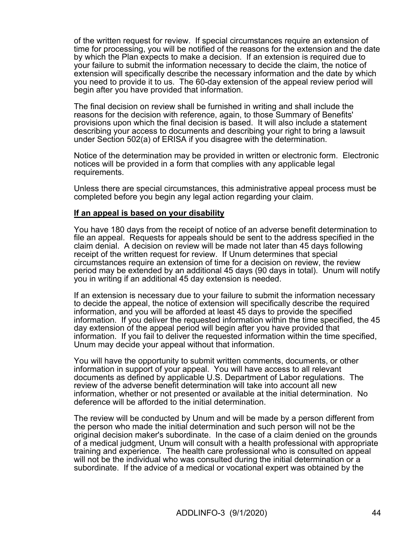of the written request for review. If special circumstances require an extension of time for processing, you will be notified of the reasons for the extension and the date by which the Plan expects to make a decision. If an extension is required due to your failure to submit the information necessary to decide the claim, the notice of extension will specifically describe the necessary information and the date by which you need to provide it to us. The 60-day extension of the appeal review period will begin after you have provided that information.

The final decision on review shall be furnished in writing and shall include the reasons for the decision with reference, again, to those Summary of Benefits' provisions upon which the final decision is based. It will also include a statement describing your access to documents and describing your right to bring a lawsuit under Section 502(a) of ERISA if you disagree with the determination.

Notice of the determination may be provided in written or electronic form. Electronic notices will be provided in a form that complies with any applicable legal requirements.

Unless there are special circumstances, this administrative appeal process must be completed before you begin any legal action regarding your claim.

### **If an appeal is based on your disability**

You have 180 days from the receipt of notice of an adverse benefit determination to file an appeal. Requests for appeals should be sent to the address specified in the claim denial. A decision on review will be made not later than 45 days following receipt of the written request for review. If Unum determines that special circumstances require an extension of time for a decision on review, the review period may be extended by an additional 45 days (90 days in total). Unum will notify you in writing if an additional 45 day extension is needed.

If an extension is necessary due to your failure to submit the information necessary to decide the appeal, the notice of extension will specifically describe the required information, and you will be afforded at least 45 days to provide the specified information. If you deliver the requested information within the time specified, the 45 day extension of the appeal period will begin after you have provided that information. If you fail to deliver the requested information within the time specified, Unum may decide your appeal without that information.

You will have the opportunity to submit written comments, documents, or other information in support of your appeal. You will have access to all relevant documents as defined by applicable U.S. Department of Labor regulations. The review of the adverse benefit determination will take into account all new information, whether or not presented or available at the initial determination. No deference will be afforded to the initial determination.

The review will be conducted by Unum and will be made by a person different from the person who made the initial determination and such person will not be the original decision maker's subordinate. In the case of a claim denied on the grounds of a medical judgment, Unum will consult with a health professional with appropriate training and experience. The health care professional who is consulted on appeal will not be the individual who was consulted during the initial determination or a subordinate. If the advice of a medical or vocational expert was obtained by the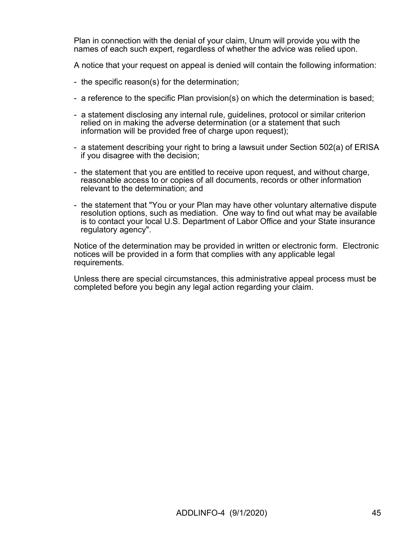Plan in connection with the denial of your claim, Unum will provide you with the names of each such expert, regardless of whether the advice was relied upon.

A notice that your request on appeal is denied will contain the following information:

- the specific reason(s) for the determination;
- a reference to the specific Plan provision(s) on which the determination is based;
- a statement disclosing any internal rule, guidelines, protocol or similar criterion relied on in making the adverse determination (or a statement that such information will be provided free of charge upon request);
- a statement describing your right to bring a lawsuit under Section 502(a) of ERISA if you disagree with the decision;
- the statement that you are entitled to receive upon request, and without charge, reasonable access to or copies of all documents, records or other information relevant to the determination; and
- the statement that "You or your Plan may have other voluntary alternative dispute resolution options, such as mediation. One way to find out what may be available is to contact your local U.S. Department of Labor Office and your State insurance regulatory agency".

Notice of the determination may be provided in written or electronic form. Electronic notices will be provided in a form that complies with any applicable legal requirements.

Unless there are special circumstances, this administrative appeal process must be completed before you begin any legal action regarding your claim.